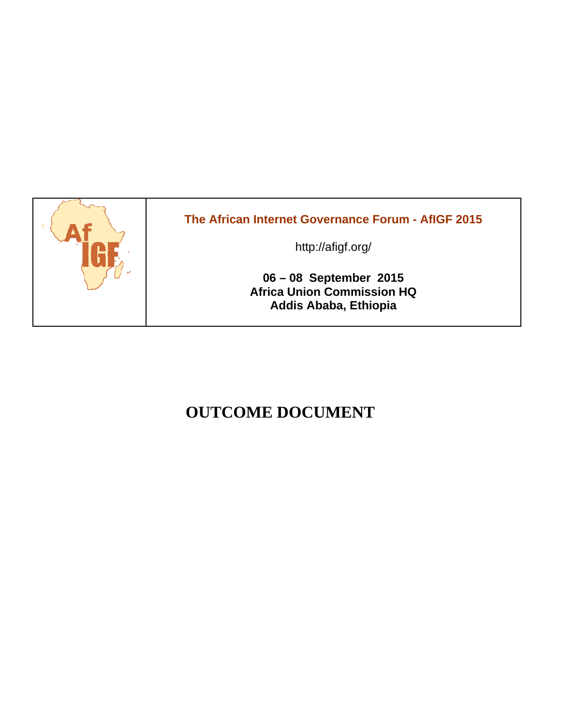

# **OUTCOME DOCUMENT**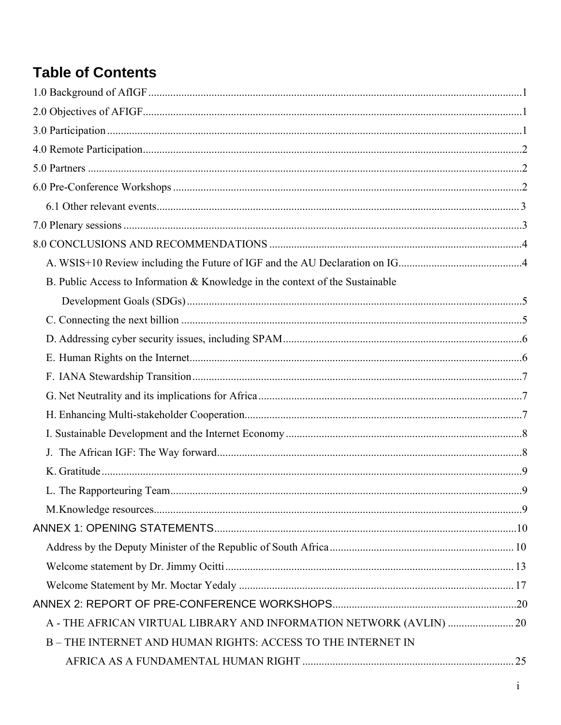# **Table of Contents**

| B. Public Access to Information & Knowledge in the context of the Sustainable |  |
|-------------------------------------------------------------------------------|--|
|                                                                               |  |
|                                                                               |  |
|                                                                               |  |
|                                                                               |  |
|                                                                               |  |
|                                                                               |  |
|                                                                               |  |
|                                                                               |  |
|                                                                               |  |
|                                                                               |  |
|                                                                               |  |
|                                                                               |  |
|                                                                               |  |
|                                                                               |  |
|                                                                               |  |
|                                                                               |  |
|                                                                               |  |
| A - THE AFRICAN VIRTUAL LIBRARY AND INFORMATION NETWORK (AVLIN)  20           |  |
| B-THE INTERNET AND HUMAN RIGHTS: ACCESS TO THE INTERNET IN                    |  |
|                                                                               |  |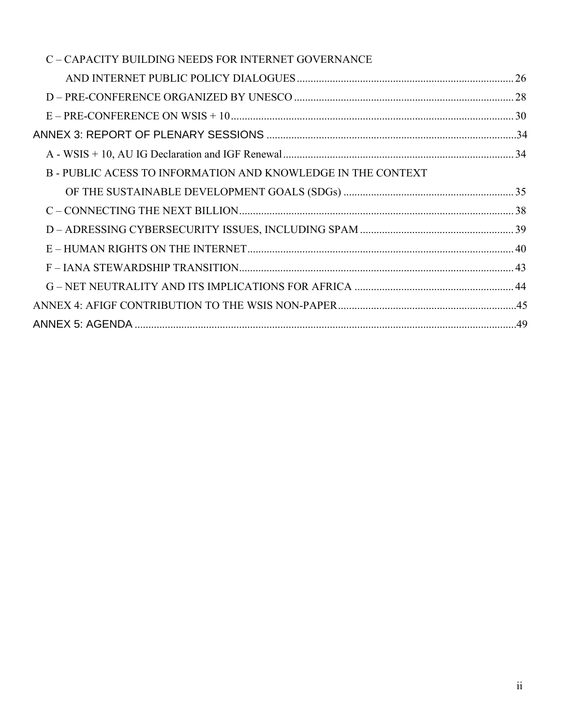| C - CAPACITY BUILDING NEEDS FOR INTERNET GOVERNANCE        |  |
|------------------------------------------------------------|--|
|                                                            |  |
|                                                            |  |
|                                                            |  |
|                                                            |  |
|                                                            |  |
| B-PUBLIC ACESS TO INFORMATION AND KNOWLEDGE IN THE CONTEXT |  |
|                                                            |  |
|                                                            |  |
|                                                            |  |
|                                                            |  |
|                                                            |  |
|                                                            |  |
|                                                            |  |
|                                                            |  |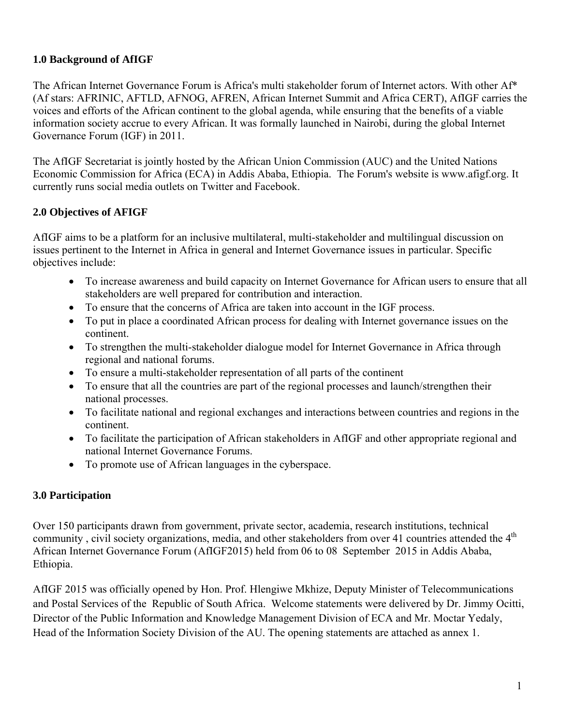## **1.0 Background of AfIGF**

The African Internet Governance Forum is Africa's multi stakeholder forum of Internet actors. With other Af\* (Af stars: AFRINIC, AFTLD, AFNOG, AFREN, African Internet Summit and Africa CERT), AfIGF carries the voices and efforts of the African continent to the global agenda, while ensuring that the benefits of a viable information society accrue to every African. It was formally launched in Nairobi, during the global Internet Governance Forum (IGF) in 2011.

The AfIGF Secretariat is jointly hosted by the African Union Commission (AUC) and the United Nations Economic Commission for Africa (ECA) in Addis Ababa, Ethiopia. The Forum's website is www.afigf.org. It currently runs social media outlets on Twitter and Facebook.

## **2.0 Objectives of AFIGF**

AfIGF aims to be a platform for an inclusive multilateral, multi-stakeholder and multilingual discussion on issues pertinent to the Internet in Africa in general and Internet Governance issues in particular. Specific objectives include:

- To increase awareness and build capacity on Internet Governance for African users to ensure that all stakeholders are well prepared for contribution and interaction.
- To ensure that the concerns of Africa are taken into account in the IGF process.
- To put in place a coordinated African process for dealing with Internet governance issues on the continent.
- To strengthen the multi-stakeholder dialogue model for Internet Governance in Africa through regional and national forums.
- To ensure a multi-stakeholder representation of all parts of the continent
- To ensure that all the countries are part of the regional processes and launch/strengthen their national processes.
- To facilitate national and regional exchanges and interactions between countries and regions in the continent.
- To facilitate the participation of African stakeholders in AfIGF and other appropriate regional and national Internet Governance Forums.
- To promote use of African languages in the cyberspace.

## **3.0 Participation**

Over 150 participants drawn from government, private sector, academia, research institutions, technical community, civil society organizations, media, and other stakeholders from over 41 countries attended the 4<sup>th</sup> African Internet Governance Forum (AfIGF2015) held from 06 to 08 September 2015 in Addis Ababa, Ethiopia.

AfIGF 2015 was officially opened by Hon. Prof. Hlengiwe Mkhize, Deputy Minister of Telecommunications and Postal Services of the Republic of South Africa. Welcome statements were delivered by Dr. Jimmy Ocitti, Director of the Public Information and Knowledge Management Division of ECA and Mr. Moctar Yedaly, Head of the Information Society Division of the AU. The opening statements are attached as annex 1.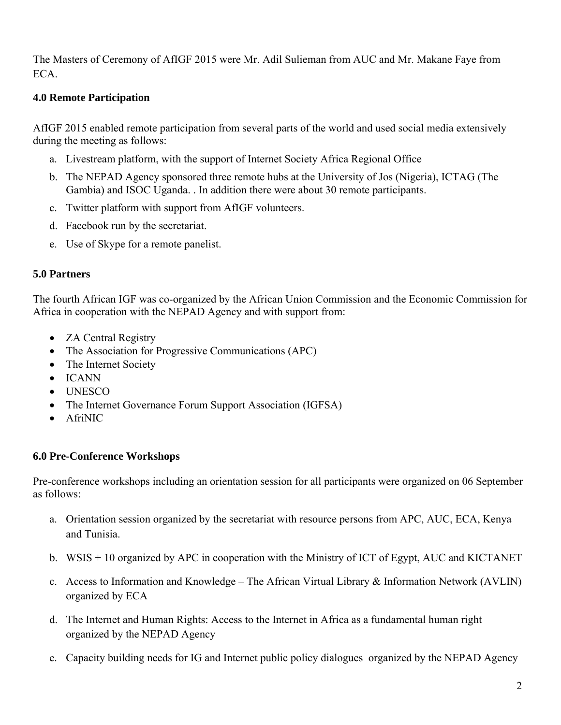The Masters of Ceremony of AfIGF 2015 were Mr. Adil Sulieman from AUC and Mr. Makane Faye from ECA.

## **4.0 Remote Participation**

AfIGF 2015 enabled remote participation from several parts of the world and used social media extensively during the meeting as follows:

- a. Livestream platform, with the support of Internet Society Africa Regional Office
- b. The NEPAD Agency sponsored three remote hubs at the University of Jos (Nigeria), ICTAG (The Gambia) and ISOC Uganda. . In addition there were about 30 remote participants.
- c. Twitter platform with support from AfIGF volunteers.
- d. Facebook run by the secretariat.
- e. Use of Skype for a remote panelist.

## **5.0 Partners**

The fourth African IGF was co-organized by the African Union Commission and the Economic Commission for Africa in cooperation with the NEPAD Agency and with support from:

- **ZA Central Registry**
- The Association for Progressive Communications (APC)
- The Internet Society
- ICANN
- UNESCO
- The Internet Governance Forum Support Association (IGFSA)
- AfriNIC

## **6.0 Pre-Conference Workshops**

Pre-conference workshops including an orientation session for all participants were organized on 06 September as follows:

- a. Orientation session organized by the secretariat with resource persons from APC, AUC, ECA, Kenya and Tunisia.
- b. WSIS + 10 organized by APC in cooperation with the Ministry of ICT of Egypt, AUC and KICTANET
- c. Access to Information and Knowledge The African Virtual Library & Information Network (AVLIN) organized by ECA
- d. The Internet and Human Rights: Access to the Internet in Africa as a fundamental human right organized by the NEPAD Agency
- e. Capacity building needs for IG and Internet public policy dialogues organized by the NEPAD Agency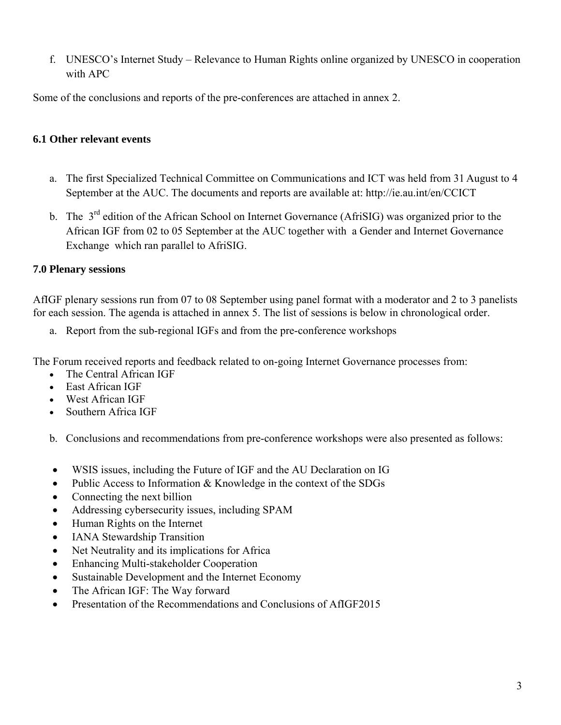f. UNESCO's Internet Study – Relevance to Human Rights online organized by UNESCO in cooperation with APC

Some of the conclusions and reports of the pre-conferences are attached in annex 2.

## **6.1 Other relevant events**

- a. The first Specialized Technical Committee on Communications and ICT was held from 31 August to 4 September at the AUC. The documents and reports are available at: http://ie.au.int/en/CCICT
- b. The 3<sup>rd</sup> edition of the African School on Internet Governance (AfriSIG) was organized prior to the African IGF from 02 to 05 September at the AUC together with a Gender and Internet Governance Exchange which ran parallel to AfriSIG.

## **7.0 Plenary sessions**

AfIGF plenary sessions run from 07 to 08 September using panel format with a moderator and 2 to 3 panelists for each session. The agenda is attached in annex 5. The list of sessions is below in chronological order.

a. Report from the sub-regional IGFs and from the pre-conference workshops

The Forum received reports and feedback related to on-going Internet Governance processes from:

- The Central African IGF
- East African IGF
- West African IGF
- Southern Africa IGF
- b. Conclusions and recommendations from pre-conference workshops were also presented as follows:
- WSIS issues, including the Future of IGF and the AU Declaration on IG
- Public Access to Information & Knowledge in the context of the SDGs
- Connecting the next billion
- Addressing cybersecurity issues, including SPAM
- Human Rights on the Internet
- IANA Stewardship Transition
- Net Neutrality and its implications for Africa
- Enhancing Multi-stakeholder Cooperation
- Sustainable Development and the Internet Economy
- The African IGF: The Way forward
- Presentation of the Recommendations and Conclusions of AfIGF2015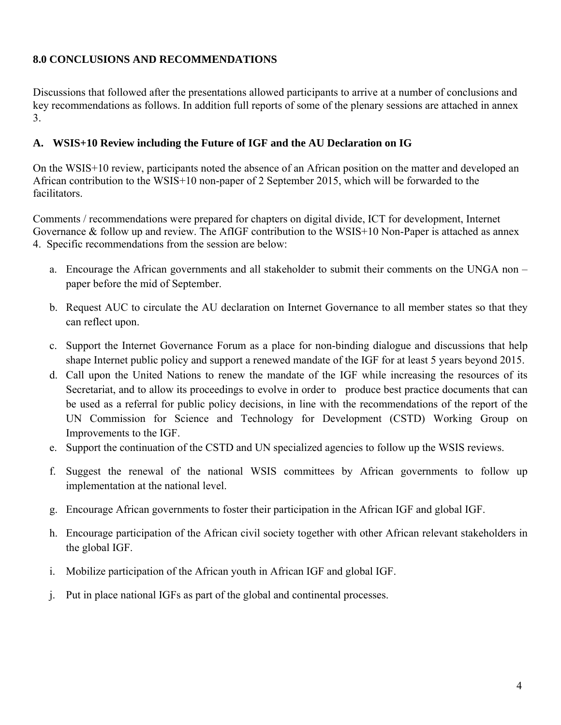## **8.0 CONCLUSIONS AND RECOMMENDATIONS**

Discussions that followed after the presentations allowed participants to arrive at a number of conclusions and key recommendations as follows. In addition full reports of some of the plenary sessions are attached in annex 3.

## **A. WSIS+10 Review including the Future of IGF and the AU Declaration on IG**

On the WSIS+10 review, participants noted the absence of an African position on the matter and developed an African contribution to the WSIS+10 non-paper of 2 September 2015, which will be forwarded to the facilitators.

Comments / recommendations were prepared for chapters on digital divide, ICT for development, Internet Governance & follow up and review. The AfIGF contribution to the WSIS+10 Non-Paper is attached as annex 4. Specific recommendations from the session are below:

- a. Encourage the African governments and all stakeholder to submit their comments on the UNGA non paper before the mid of September.
- b. Request AUC to circulate the AU declaration on Internet Governance to all member states so that they can reflect upon.
- c. Support the Internet Governance Forum as a place for non-binding dialogue and discussions that help shape Internet public policy and support a renewed mandate of the IGF for at least 5 years beyond 2015.
- d. Call upon the United Nations to renew the mandate of the IGF while increasing the resources of its Secretariat, and to allow its proceedings to evolve in order to produce best practice documents that can be used as a referral for public policy decisions, in line with the recommendations of the report of the UN Commission for Science and Technology for Development (CSTD) Working Group on Improvements to the IGF.
- e. Support the continuation of the CSTD and UN specialized agencies to follow up the WSIS reviews.
- f. Suggest the renewal of the national WSIS committees by African governments to follow up implementation at the national level.
- g. Encourage African governments to foster their participation in the African IGF and global IGF.
- h. Encourage participation of the African civil society together with other African relevant stakeholders in the global IGF.
- i. Mobilize participation of the African youth in African IGF and global IGF.
- j. Put in place national IGFs as part of the global and continental processes.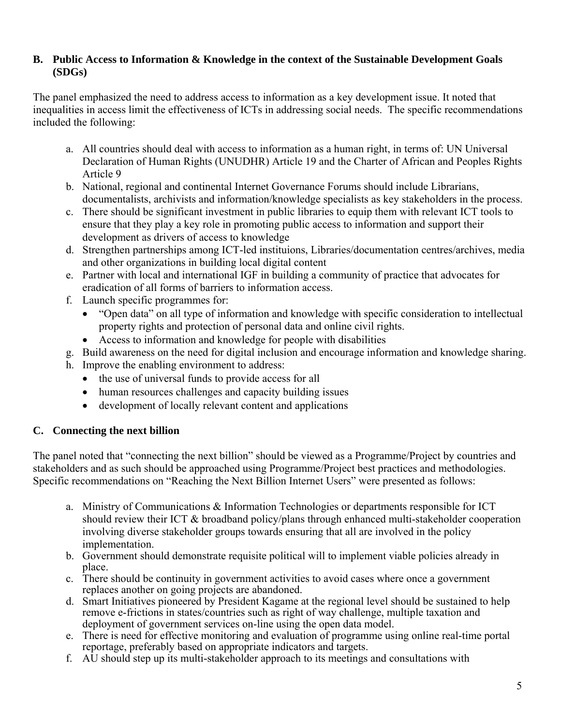### **B. Public Access to Information & Knowledge in the context of the Sustainable Development Goals (SDGs)**

The panel emphasized the need to address access to information as a key development issue. It noted that inequalities in access limit the effectiveness of ICTs in addressing social needs. The specific recommendations included the following:

- a. All countries should deal with access to information as a human right, in terms of: UN Universal Declaration of Human Rights (UNUDHR) Article 19 and the Charter of African and Peoples Rights Article 9
- b. National, regional and continental Internet Governance Forums should include Librarians, documentalists, archivists and information/knowledge specialists as key stakeholders in the process.
- c. There should be significant investment in public libraries to equip them with relevant ICT tools to ensure that they play a key role in promoting public access to information and support their development as drivers of access to knowledge
- d. Strengthen partnerships among ICT-led instituions, Libraries/documentation centres/archives, media and other organizations in building local digital content
- e. Partner with local and international IGF in building a community of practice that advocates for eradication of all forms of barriers to information access.
- f. Launch specific programmes for:
	- "Open data" on all type of information and knowledge with specific consideration to intellectual property rights and protection of personal data and online civil rights.
	- Access to information and knowledge for people with disabilities
- g. Build awareness on the need for digital inclusion and encourage information and knowledge sharing.
- h. Improve the enabling environment to address:
	- the use of universal funds to provide access for all
	- human resources challenges and capacity building issues
	- development of locally relevant content and applications

## **C. Connecting the next billion**

The panel noted that "connecting the next billion" should be viewed as a Programme/Project by countries and stakeholders and as such should be approached using Programme/Project best practices and methodologies. Specific recommendations on "Reaching the Next Billion Internet Users" were presented as follows:

- a. Ministry of Communications & Information Technologies or departments responsible for ICT should review their ICT & broadband policy/plans through enhanced multi-stakeholder cooperation involving diverse stakeholder groups towards ensuring that all are involved in the policy implementation.
- b. Government should demonstrate requisite political will to implement viable policies already in place.
- c. There should be continuity in government activities to avoid cases where once a government replaces another on going projects are abandoned.
- d. Smart Initiatives pioneered by President Kagame at the regional level should be sustained to help remove e-frictions in states/countries such as right of way challenge, multiple taxation and deployment of government services on-line using the open data model.
- e. There is need for effective monitoring and evaluation of programme using online real-time portal reportage, preferably based on appropriate indicators and targets.
- f. AU should step up its multi-stakeholder approach to its meetings and consultations with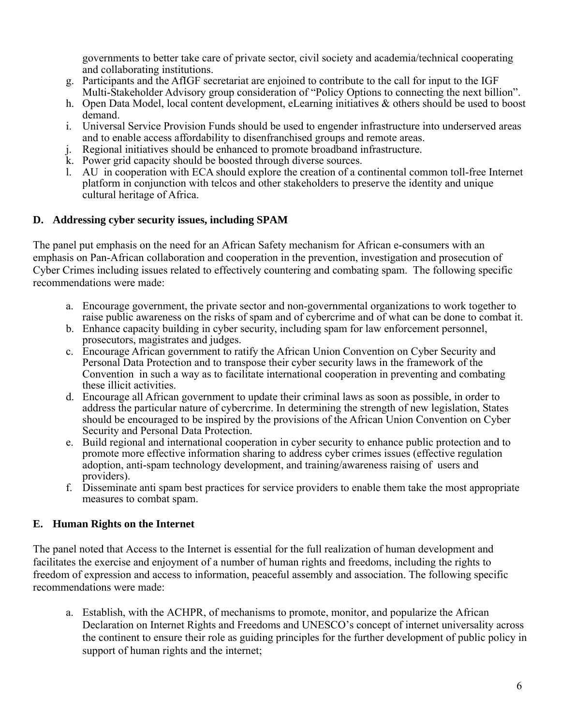governments to better take care of private sector, civil society and academia/technical cooperating and collaborating institutions.

- g. Participants and the AfIGF secretariat are enjoined to contribute to the call for input to the IGF Multi-Stakeholder Advisory group consideration of "Policy Options to connecting the next billion".
- h. Open Data Model, local content development, eLearning initiatives & others should be used to boost demand.
- i. Universal Service Provision Funds should be used to engender infrastructure into underserved areas and to enable access affordability to disenfranchised groups and remote areas.
- j. Regional initiatives should be enhanced to promote broadband infrastructure.
- k. Power grid capacity should be boosted through diverse sources.
- l. AU in cooperation with ECA should explore the creation of a continental common toll-free Internet platform in conjunction with telcos and other stakeholders to preserve the identity and unique cultural heritage of Africa.

## **D. Addressing cyber security issues, including SPAM**

The panel put emphasis on the need for an African Safety mechanism for African e-consumers with an emphasis on Pan-African collaboration and cooperation in the prevention, investigation and prosecution of Cyber Crimes including issues related to effectively countering and combating spam. The following specific recommendations were made:

- a. Encourage government, the private sector and non-governmental organizations to work together to raise public awareness on the risks of spam and of cybercrime and of what can be done to combat it.
- b. Enhance capacity building in cyber security, including spam for law enforcement personnel, prosecutors, magistrates and judges.
- c. Encourage African government to ratify the African Union Convention on Cyber Security and Personal Data Protection and to transpose their cyber security laws in the framework of the Convention in such a way as to facilitate international cooperation in preventing and combating these illicit activities.
- d. Encourage all African government to update their criminal laws as soon as possible, in order to address the particular nature of cybercrime. In determining the strength of new legislation, States should be encouraged to be inspired by the provisions of the African Union Convention on Cyber Security and Personal Data Protection.
- e. Build regional and international cooperation in cyber security to enhance public protection and to promote more effective information sharing to address cyber crimes issues (effective regulation adoption, anti-spam technology development, and training/awareness raising of users and providers).
- f. Disseminate anti spam best practices for service providers to enable them take the most appropriate measures to combat spam.

## **E. Human Rights on the Internet**

The panel noted that Access to the Internet is essential for the full realization of human development and facilitates the exercise and enjoyment of a number of human rights and freedoms, including the rights to freedom of expression and access to information, peaceful assembly and association. The following specific recommendations were made:

a. Establish, with the ACHPR, of mechanisms to promote, monitor, and popularize the African Declaration on Internet Rights and Freedoms and UNESCO's concept of internet universality across the continent to ensure their role as guiding principles for the further development of public policy in support of human rights and the internet;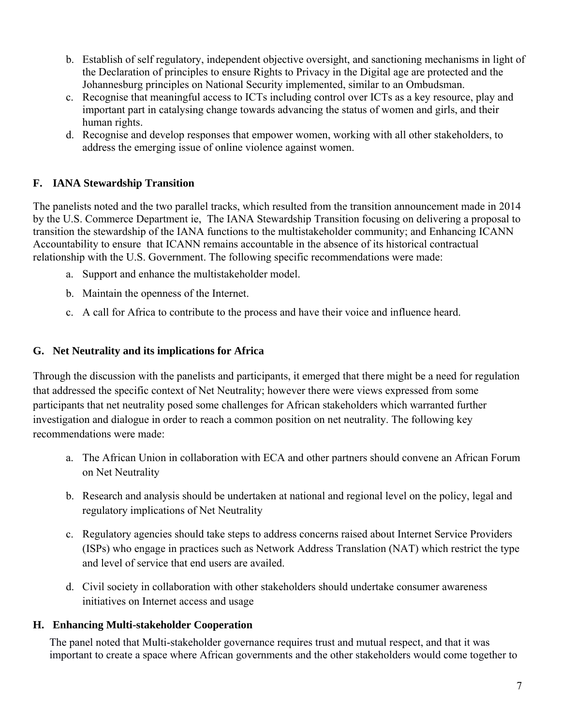- b. Establish of self regulatory, independent objective oversight, and sanctioning mechanisms in light of the Declaration of principles to ensure Rights to Privacy in the Digital age are protected and the Johannesburg principles on National Security implemented, similar to an Ombudsman.
- c. Recognise that meaningful access to ICTs including control over ICTs as a key resource, play and important part in catalysing change towards advancing the status of women and girls, and their human rights.
- d. Recognise and develop responses that empower women, working with all other stakeholders, to address the emerging issue of online violence against women.

## **F. IANA Stewardship Transition**

The panelists noted and the two parallel tracks, which resulted from the transition announcement made in 2014 by the U.S. Commerce Department ie, The IANA Stewardship Transition focusing on delivering a proposal to transition the stewardship of the IANA functions to the multistakeholder community; and Enhancing ICANN Accountability to ensure that ICANN remains accountable in the absence of its historical contractual relationship with the U.S. Government. The following specific recommendations were made:

- a. Support and enhance the multistakeholder model.
- b. Maintain the openness of the Internet.
- c. A call for Africa to contribute to the process and have their voice and influence heard.

## **G. Net Neutrality and its implications for Africa**

Through the discussion with the panelists and participants, it emerged that there might be a need for regulation that addressed the specific context of Net Neutrality; however there were views expressed from some participants that net neutrality posed some challenges for African stakeholders which warranted further investigation and dialogue in order to reach a common position on net neutrality. The following key recommendations were made:

- a. The African Union in collaboration with ECA and other partners should convene an African Forum on Net Neutrality
- b. Research and analysis should be undertaken at national and regional level on the policy, legal and regulatory implications of Net Neutrality
- c. Regulatory agencies should take steps to address concerns raised about Internet Service Providers (ISPs) who engage in practices such as Network Address Translation (NAT) which restrict the type and level of service that end users are availed.
- d. Civil society in collaboration with other stakeholders should undertake consumer awareness initiatives on Internet access and usage

## **H. Enhancing Multi-stakeholder Cooperation**

The panel noted that Multi-stakeholder governance requires trust and mutual respect, and that it was important to create a space where African governments and the other stakeholders would come together to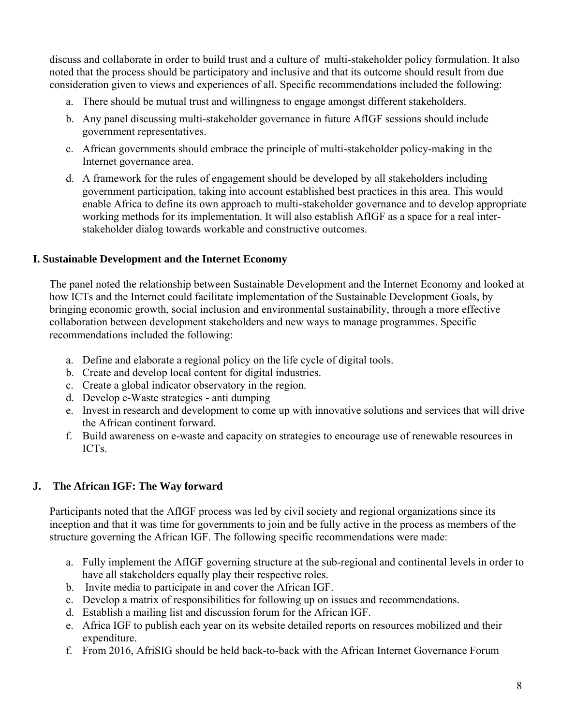discuss and collaborate in order to build trust and a culture of multi-stakeholder policy formulation. It also noted that the process should be participatory and inclusive and that its outcome should result from due consideration given to views and experiences of all. Specific recommendations included the following:

- a. There should be mutual trust and willingness to engage amongst different stakeholders.
- b. Any panel discussing multi-stakeholder governance in future AfIGF sessions should include government representatives.
- c. African governments should embrace the principle of multi-stakeholder policy-making in the Internet governance area.
- d. A framework for the rules of engagement should be developed by all stakeholders including government participation, taking into account established best practices in this area. This would enable Africa to define its own approach to multi-stakeholder governance and to develop appropriate working methods for its implementation. It will also establish AfIGF as a space for a real interstakeholder dialog towards workable and constructive outcomes.

## **I. Sustainable Development and the Internet Economy**

The panel noted the relationship between Sustainable Development and the Internet Economy and looked at how ICTs and the Internet could facilitate implementation of the Sustainable Development Goals, by bringing economic growth, social inclusion and environmental sustainability, through a more effective collaboration between development stakeholders and new ways to manage programmes. Specific recommendations included the following:

- a. Define and elaborate a regional policy on the life cycle of digital tools.
- b. Create and develop local content for digital industries.
- c. Create a global indicator observatory in the region.
- d. Develop e-Waste strategies anti dumping
- e. Invest in research and development to come up with innovative solutions and services that will drive the African continent forward.
- f. Build awareness on e-waste and capacity on strategies to encourage use of renewable resources in ICTs.

## **J. The African IGF: The Way forward**

Participants noted that the AfIGF process was led by civil society and regional organizations since its inception and that it was time for governments to join and be fully active in the process as members of the structure governing the African IGF. The following specific recommendations were made:

- a. Fully implement the AfIGF governing structure at the sub-regional and continental levels in order to have all stakeholders equally play their respective roles.
- b. Invite media to participate in and cover the African IGF.
- c. Develop a matrix of responsibilities for following up on issues and recommendations.
- d. Establish a mailing list and discussion forum for the African IGF.
- e. Africa IGF to publish each year on its website detailed reports on resources mobilized and their expenditure.
- f. From 2016, AfriSIG should be held back-to-back with the African Internet Governance Forum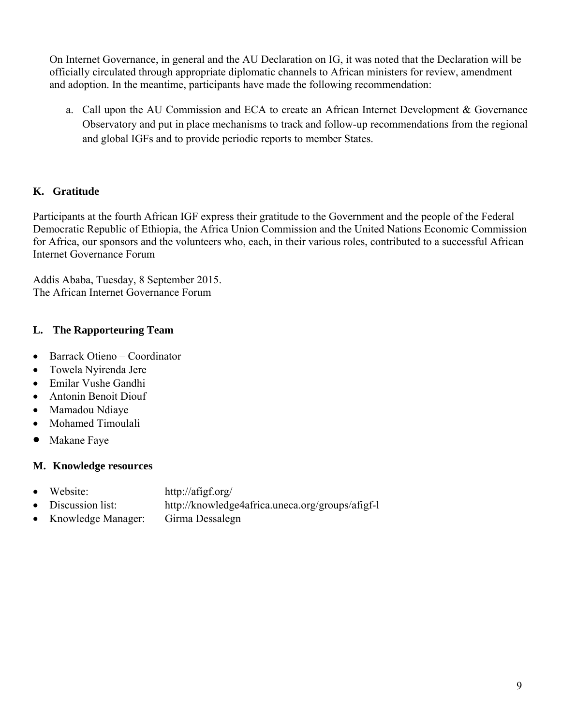On Internet Governance, in general and the AU Declaration on IG, it was noted that the Declaration will be officially circulated through appropriate diplomatic channels to African ministers for review, amendment and adoption. In the meantime, participants have made the following recommendation:

a. Call upon the AU Commission and ECA to create an African Internet Development & Governance Observatory and put in place mechanisms to track and follow-up recommendations from the regional and global IGFs and to provide periodic reports to member States.

## **K. Gratitude**

Participants at the fourth African IGF express their gratitude to the Government and the people of the Federal Democratic Republic of Ethiopia, the Africa Union Commission and the United Nations Economic Commission for Africa, our sponsors and the volunteers who, each, in their various roles, contributed to a successful African Internet Governance Forum

Addis Ababa, Tuesday, 8 September 2015. The African Internet Governance Forum

## **L. The Rapporteuring Team**

- Barrack Otieno Coordinator
- Towela Nyirenda Jere
- Emilar Vushe Gandhi
- Antonin Benoit Diouf
- Mamadou Ndiaye
- Mohamed Timoulali
- Makane Faye

## **M. Knowledge resources**

- Website: http://afigf.org/
- Discussion list: http://knowledge4africa.uneca.org/groups/afigf-l
- Knowledge Manager: Girma Dessalegn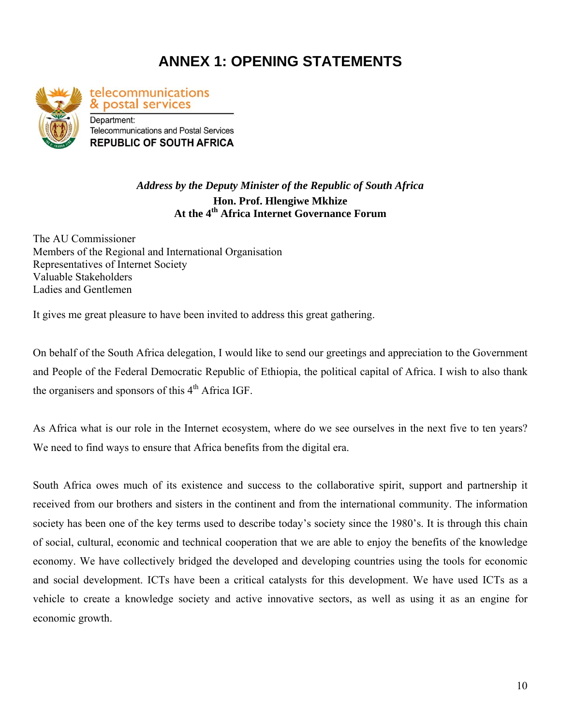# **ANNEX 1: OPENING STATEMENTS**



telecommunications & postal services Department: **Telecommunications and Postal Services REPUBLIC OF SOUTH AFRICA** 

## *Address by the Deputy Minister of the Republic of South Africa*  **Hon. Prof. Hlengiwe Mkhize At the 4th Africa Internet Governance Forum**

The AU Commissioner Members of the Regional and International Organisation Representatives of Internet Society Valuable Stakeholders Ladies and Gentlemen

It gives me great pleasure to have been invited to address this great gathering.

On behalf of the South Africa delegation, I would like to send our greetings and appreciation to the Government and People of the Federal Democratic Republic of Ethiopia, the political capital of Africa. I wish to also thank the organisers and sponsors of this  $4<sup>th</sup>$  Africa IGF.

As Africa what is our role in the Internet ecosystem, where do we see ourselves in the next five to ten years? We need to find ways to ensure that Africa benefits from the digital era.

South Africa owes much of its existence and success to the collaborative spirit, support and partnership it received from our brothers and sisters in the continent and from the international community. The information society has been one of the key terms used to describe today's society since the 1980's. It is through this chain of social, cultural, economic and technical cooperation that we are able to enjoy the benefits of the knowledge economy. We have collectively bridged the developed and developing countries using the tools for economic and social development. ICTs have been a critical catalysts for this development. We have used ICTs as a vehicle to create a knowledge society and active innovative sectors, as well as using it as an engine for economic growth.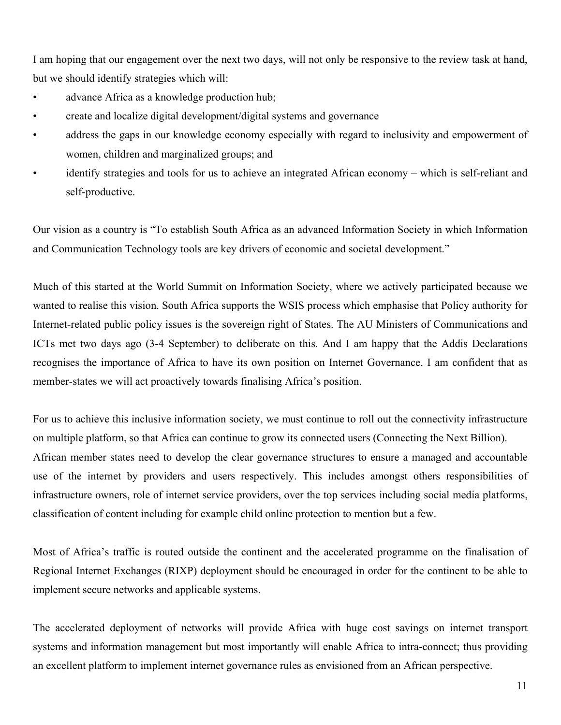I am hoping that our engagement over the next two days, will not only be responsive to the review task at hand, but we should identify strategies which will:

- advance Africa as a knowledge production hub;
- create and localize digital development/digital systems and governance
- address the gaps in our knowledge economy especially with regard to inclusivity and empowerment of women, children and marginalized groups; and
- identify strategies and tools for us to achieve an integrated African economy which is self-reliant and self-productive.

Our vision as a country is "To establish South Africa as an advanced Information Society in which Information and Communication Technology tools are key drivers of economic and societal development."

Much of this started at the World Summit on Information Society, where we actively participated because we wanted to realise this vision. South Africa supports the WSIS process which emphasise that Policy authority for Internet-related public policy issues is the sovereign right of States. The AU Ministers of Communications and ICTs met two days ago (3-4 September) to deliberate on this. And I am happy that the Addis Declarations recognises the importance of Africa to have its own position on Internet Governance. I am confident that as member-states we will act proactively towards finalising Africa's position.

For us to achieve this inclusive information society, we must continue to roll out the connectivity infrastructure on multiple platform, so that Africa can continue to grow its connected users (Connecting the Next Billion). African member states need to develop the clear governance structures to ensure a managed and accountable use of the internet by providers and users respectively. This includes amongst others responsibilities of infrastructure owners, role of internet service providers, over the top services including social media platforms, classification of content including for example child online protection to mention but a few.

Most of Africa's traffic is routed outside the continent and the accelerated programme on the finalisation of Regional Internet Exchanges (RIXP) deployment should be encouraged in order for the continent to be able to implement secure networks and applicable systems.

The accelerated deployment of networks will provide Africa with huge cost savings on internet transport systems and information management but most importantly will enable Africa to intra-connect; thus providing an excellent platform to implement internet governance rules as envisioned from an African perspective.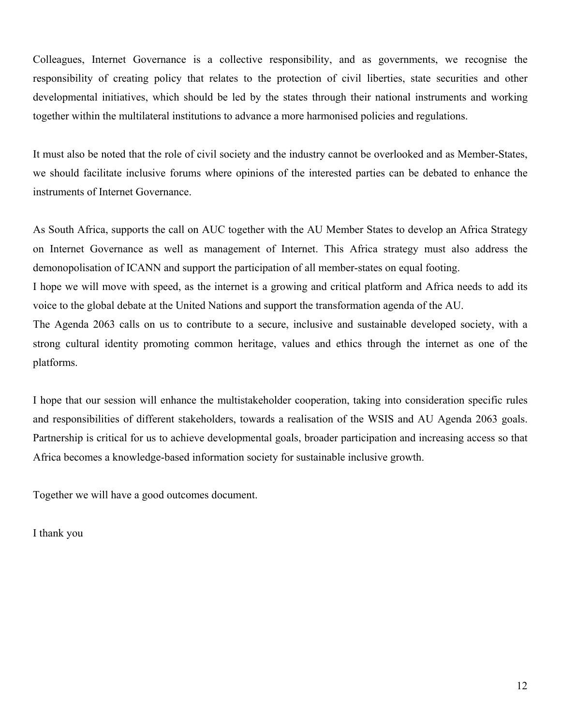Colleagues, Internet Governance is a collective responsibility, and as governments, we recognise the responsibility of creating policy that relates to the protection of civil liberties, state securities and other developmental initiatives, which should be led by the states through their national instruments and working together within the multilateral institutions to advance a more harmonised policies and regulations.

It must also be noted that the role of civil society and the industry cannot be overlooked and as Member-States, we should facilitate inclusive forums where opinions of the interested parties can be debated to enhance the instruments of Internet Governance.

As South Africa, supports the call on AUC together with the AU Member States to develop an Africa Strategy on Internet Governance as well as management of Internet. This Africa strategy must also address the demonopolisation of ICANN and support the participation of all member-states on equal footing. I hope we will move with speed, as the internet is a growing and critical platform and Africa needs to add its

voice to the global debate at the United Nations and support the transformation agenda of the AU.

The Agenda 2063 calls on us to contribute to a secure, inclusive and sustainable developed society, with a strong cultural identity promoting common heritage, values and ethics through the internet as one of the platforms.

I hope that our session will enhance the multistakeholder cooperation, taking into consideration specific rules and responsibilities of different stakeholders, towards a realisation of the WSIS and AU Agenda 2063 goals. Partnership is critical for us to achieve developmental goals, broader participation and increasing access so that Africa becomes a knowledge-based information society for sustainable inclusive growth.

Together we will have a good outcomes document.

I thank you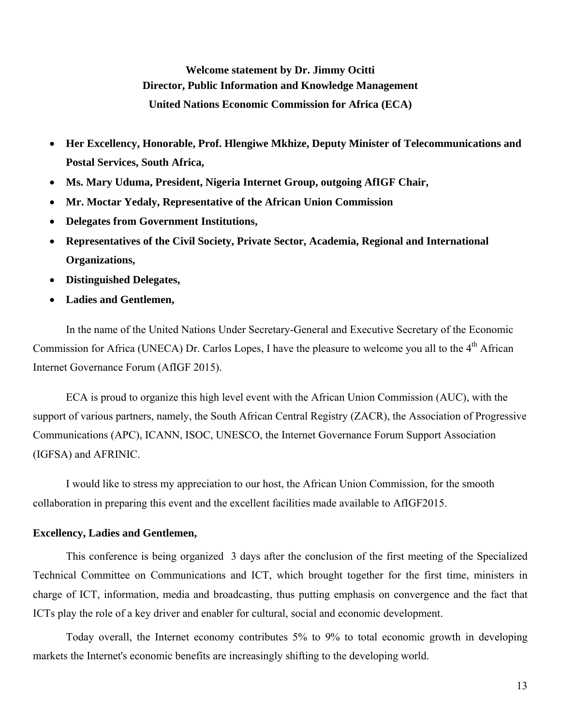**Welcome statement by Dr. Jimmy Ocitti Director, Public Information and Knowledge Management United Nations Economic Commission for Africa (ECA)** 

- **Her Excellency, Honorable, Prof. Hlengiwe Mkhize, Deputy Minister of Telecommunications and Postal Services, South Africa,**
- **Ms. Mary Uduma, President, Nigeria Internet Group, outgoing AfIGF Chair,**
- **Mr. Moctar Yedaly, Representative of the African Union Commission**
- **Delegates from Government Institutions,**
- **Representatives of the Civil Society, Private Sector, Academia, Regional and International Organizations,**
- **Distinguished Delegates,**
- **Ladies and Gentlemen,**

In the name of the United Nations Under Secretary-General and Executive Secretary of the Economic Commission for Africa (UNECA) Dr. Carlos Lopes, I have the pleasure to welcome you all to the 4<sup>th</sup> African Internet Governance Forum (AfIGF 2015).

ECA is proud to organize this high level event with the African Union Commission (AUC), with the support of various partners, namely, the South African Central Registry (ZACR), the Association of Progressive Communications (APC), ICANN, ISOC, UNESCO, the Internet Governance Forum Support Association (IGFSA) and AFRINIC.

I would like to stress my appreciation to our host, the African Union Commission, for the smooth collaboration in preparing this event and the excellent facilities made available to AfIGF2015.

#### **Excellency, Ladies and Gentlemen,**

This conference is being organized 3 days after the conclusion of the first meeting of the Specialized Technical Committee on Communications and ICT, which brought together for the first time, ministers in charge of ICT, information, media and broadcasting, thus putting emphasis on convergence and the fact that ICTs play the role of a key driver and enabler for cultural, social and economic development.

Today overall, the Internet economy contributes 5% to 9% to total economic growth in developing markets the Internet's economic benefits are increasingly shifting to the developing world.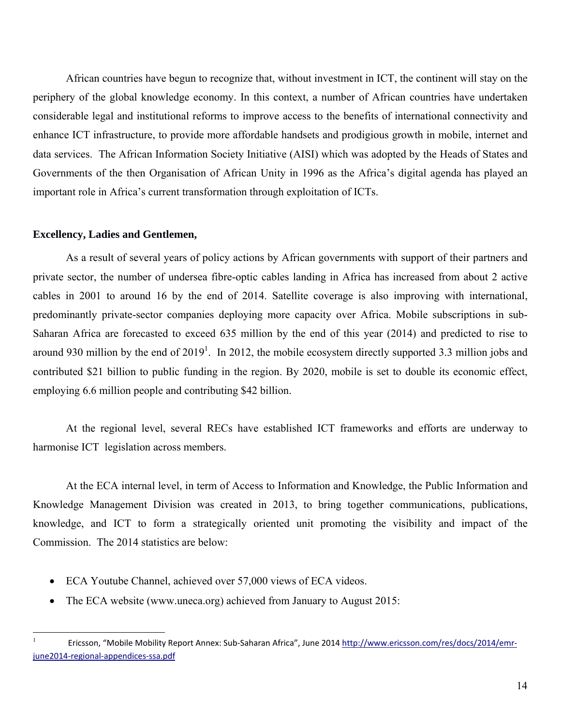African countries have begun to recognize that, without investment in ICT, the continent will stay on the periphery of the global knowledge economy. In this context, a number of African countries have undertaken considerable legal and institutional reforms to improve access to the benefits of international connectivity and enhance ICT infrastructure, to provide more affordable handsets and prodigious growth in mobile, internet and data services. The African Information Society Initiative (AISI) which was adopted by the Heads of States and Governments of the then Organisation of African Unity in 1996 as the Africa's digital agenda has played an important role in Africa's current transformation through exploitation of ICTs.

#### **Excellency, Ladies and Gentlemen,**

 $\overline{a}$ 

As a result of several years of policy actions by African governments with support of their partners and private sector, the number of undersea fibre-optic cables landing in Africa has increased from about 2 active cables in 2001 to around 16 by the end of 2014. Satellite coverage is also improving with international, predominantly private-sector companies deploying more capacity over Africa. Mobile subscriptions in sub-Saharan Africa are forecasted to exceed 635 million by the end of this year (2014) and predicted to rise to around 930 million by the end of  $2019<sup>1</sup>$ . In 2012, the mobile ecosystem directly supported 3.3 million jobs and contributed \$21 billion to public funding in the region. By 2020, mobile is set to double its economic effect, employing 6.6 million people and contributing \$42 billion.

At the regional level, several RECs have established ICT frameworks and efforts are underway to harmonise ICT legislation across members.

At the ECA internal level, in term of Access to Information and Knowledge, the Public Information and Knowledge Management Division was created in 2013, to bring together communications, publications, knowledge, and ICT to form a strategically oriented unit promoting the visibility and impact of the Commission. The 2014 statistics are below:

- ECA Youtube Channel, achieved over 57,000 views of ECA videos.
- The ECA website (www.uneca.org) achieved from January to August 2015:

<sup>1</sup> Ericsson, "Mobile Mobility Report Annex: Sub‐Saharan Africa", June 2014 http://www.ericsson.com/res/docs/2014/emr‐ june2014‐regional‐appendices‐ssa.pdf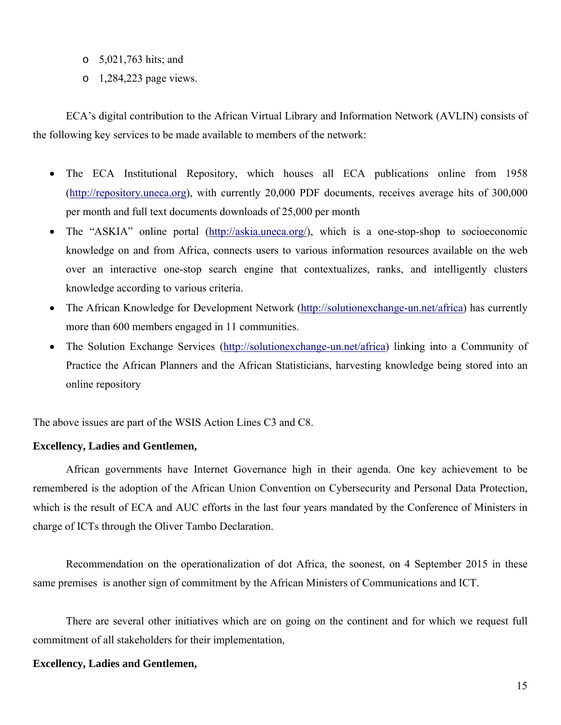- o 5,021,763 hits; and
- o 1,284,223 page views.

ECA's digital contribution to the African Virtual Library and Information Network (AVLIN) consists of the following key services to be made available to members of the network:

- The ECA Institutional Repository, which houses all ECA publications online from 1958 (http://repository.uneca.org), with currently 20,000 PDF documents, receives average hits of 300,000 per month and full text documents downloads of 25,000 per month
- The "ASKIA" online portal (http://askia.uneca.org/), which is a one-stop-shop to socioeconomic knowledge on and from Africa, connects users to various information resources available on the web over an interactive one-stop search engine that contextualizes, ranks, and intelligently clusters knowledge according to various criteria.
- The African Knowledge for Development Network (http://solutionexchange-un.net/africa) has currently more than 600 members engaged in 11 communities.
- The Solution Exchange Services (http://solutionexchange-un.net/africa) linking into a Community of Practice the African Planners and the African Statisticians, harvesting knowledge being stored into an online repository

The above issues are part of the WSIS Action Lines C3 and C8.

#### **Excellency, Ladies and Gentlemen,**

African governments have Internet Governance high in their agenda. One key achievement to be remembered is the adoption of the African Union Convention on Cybersecurity and Personal Data Protection, which is the result of ECA and AUC efforts in the last four years mandated by the Conference of Ministers in charge of ICTs through the Oliver Tambo Declaration.

Recommendation on the operationalization of dot Africa, the soonest, on 4 September 2015 in these same premises is another sign of commitment by the African Ministers of Communications and ICT.

There are several other initiatives which are on going on the continent and for which we request full commitment of all stakeholders for their implementation,

#### **Excellency, Ladies and Gentlemen,**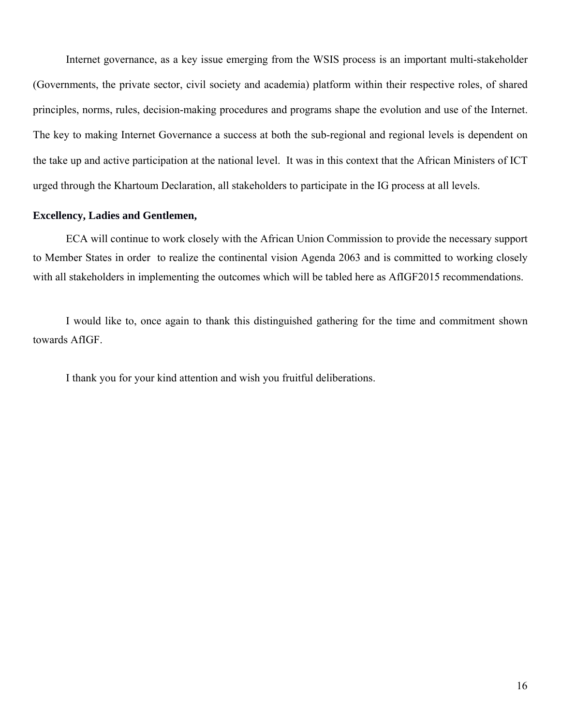Internet governance, as a key issue emerging from the WSIS process is an important multi-stakeholder (Governments, the private sector, civil society and academia) platform within their respective roles, of shared principles, norms, rules, decision-making procedures and programs shape the evolution and use of the Internet. The key to making Internet Governance a success at both the sub-regional and regional levels is dependent on the take up and active participation at the national level. It was in this context that the African Ministers of ICT urged through the Khartoum Declaration, all stakeholders to participate in the IG process at all levels.

#### **Excellency, Ladies and Gentlemen,**

ECA will continue to work closely with the African Union Commission to provide the necessary support to Member States in order to realize the continental vision Agenda 2063 and is committed to working closely with all stakeholders in implementing the outcomes which will be tabled here as AfIGF2015 recommendations.

I would like to, once again to thank this distinguished gathering for the time and commitment shown towards AfIGF.

I thank you for your kind attention and wish you fruitful deliberations.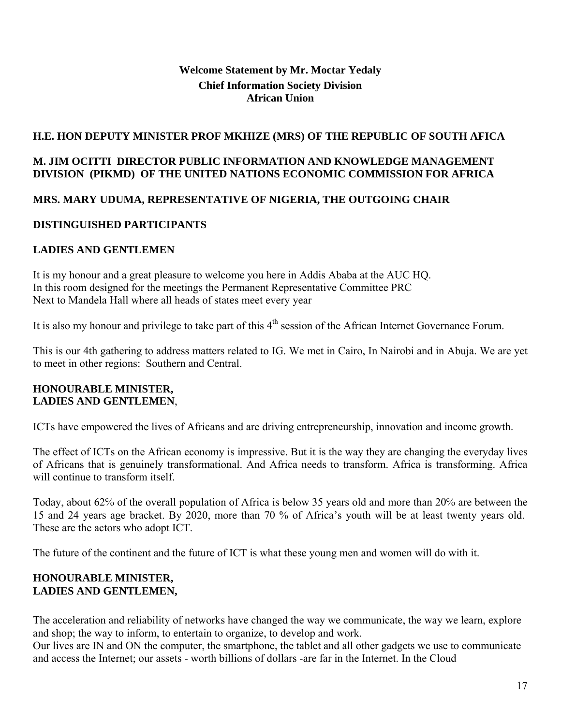## **Welcome Statement by Mr. Moctar Yedaly Chief Information Society Division African Union**

## **H.E. HON DEPUTY MINISTER PROF MKHIZE (MRS) OF THE REPUBLIC OF SOUTH AFICA**

## **M. JIM OCITTI DIRECTOR PUBLIC INFORMATION AND KNOWLEDGE MANAGEMENT DIVISION (PIKMD) OF THE UNITED NATIONS ECONOMIC COMMISSION FOR AFRICA**

## **MRS. MARY UDUMA, REPRESENTATIVE OF NIGERIA, THE OUTGOING CHAIR**

## **DISTINGUISHED PARTICIPANTS**

## **LADIES AND GENTLEMEN**

It is my honour and a great pleasure to welcome you here in Addis Ababa at the AUC HQ. In this room designed for the meetings the Permanent Representative Committee PRC Next to Mandela Hall where all heads of states meet every year

It is also my honour and privilege to take part of this  $4<sup>th</sup>$  session of the African Internet Governance Forum.

This is our 4th gathering to address matters related to IG. We met in Cairo, In Nairobi and in Abuja. We are yet to meet in other regions: Southern and Central.

#### **HONOURABLE MINISTER, LADIES AND GENTLEMEN**,

ICTs have empowered the lives of Africans and are driving entrepreneurship, innovation and income growth.

The effect of ICTs on the African economy is impressive. But it is the way they are changing the everyday lives of Africans that is genuinely transformational. And Africa needs to transform. Africa is transforming. Africa will continue to transform itself.

Today, about 62℅ of the overall population of Africa is below 35 years old and more than 20℅ are between the 15 and 24 years age bracket. By 2020, more than 70 % of Africa's youth will be at least twenty years old. These are the actors who adopt ICT.

The future of the continent and the future of ICT is what these young men and women will do with it.

## **HONOURABLE MINISTER, LADIES AND GENTLEMEN,**

The acceleration and reliability of networks have changed the way we communicate, the way we learn, explore and shop; the way to inform, to entertain to organize, to develop and work.

Our lives are IN and ON the computer, the smartphone, the tablet and all other gadgets we use to communicate and access the Internet; our assets - worth billions of dollars -are far in the Internet. In the Cloud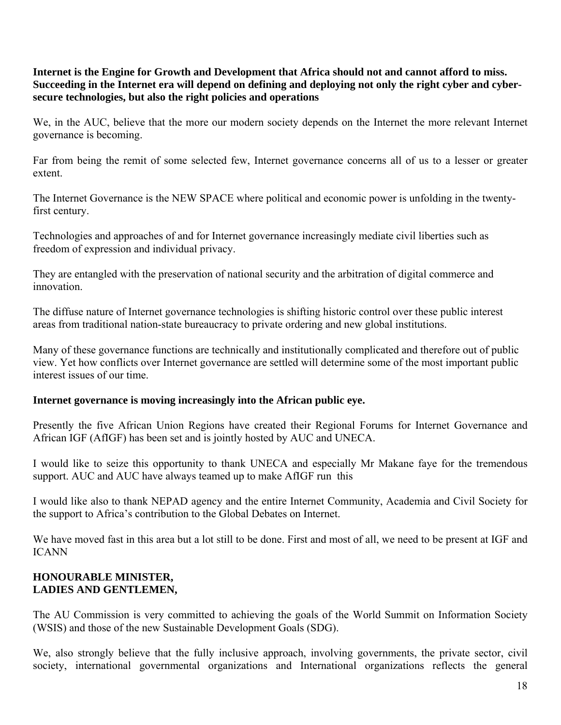**Internet is the Engine for Growth and Development that Africa should not and cannot afford to miss. Succeeding in the Internet era will depend on defining and deploying not only the right cyber and cybersecure technologies, but also the right policies and operations**

We, in the AUC, believe that the more our modern society depends on the Internet the more relevant Internet governance is becoming.

Far from being the remit of some selected few, Internet governance concerns all of us to a lesser or greater extent.

The Internet Governance is the NEW SPACE where political and economic power is unfolding in the twentyfirst century.

Technologies and approaches of and for Internet governance increasingly mediate civil liberties such as freedom of expression and individual privacy.

They are entangled with the preservation of national security and the arbitration of digital commerce and innovation.

The diffuse nature of Internet governance technologies is shifting historic control over these public interest areas from traditional nation-state bureaucracy to private ordering and new global institutions.

Many of these governance functions are technically and institutionally complicated and therefore out of public view. Yet how conflicts over Internet governance are settled will determine some of the most important public interest issues of our time.

## **Internet governance is moving increasingly into the African public eye.**

Presently the five African Union Regions have created their Regional Forums for Internet Governance and African IGF (AfIGF) has been set and is jointly hosted by AUC and UNECA.

I would like to seize this opportunity to thank UNECA and especially Mr Makane faye for the tremendous support. AUC and AUC have always teamed up to make AfIGF run this

I would like also to thank NEPAD agency and the entire Internet Community, Academia and Civil Society for the support to Africa's contribution to the Global Debates on Internet.

We have moved fast in this area but a lot still to be done. First and most of all, we need to be present at IGF and ICANN

## **HONOURABLE MINISTER, LADIES AND GENTLEMEN,**

The AU Commission is very committed to achieving the goals of the World Summit on Information Society (WSIS) and those of the new Sustainable Development Goals (SDG).

We, also strongly believe that the fully inclusive approach, involving governments, the private sector, civil society, international governmental organizations and International organizations reflects the general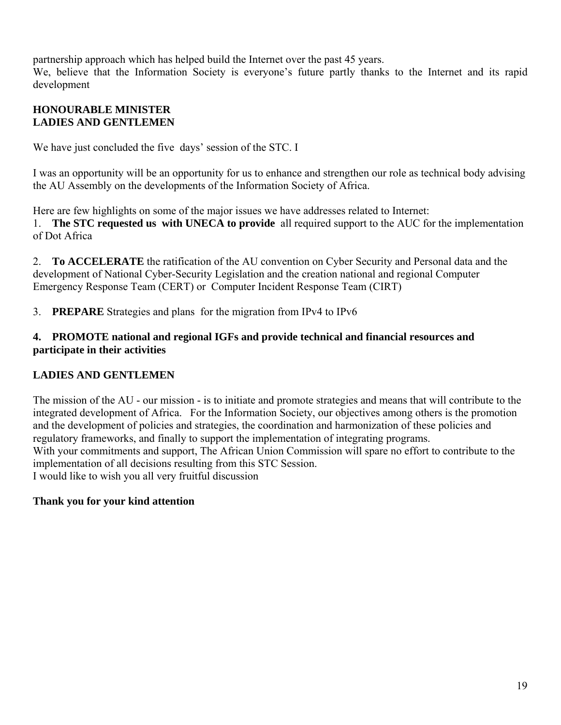partnership approach which has helped build the Internet over the past 45 years.

We, believe that the Information Society is everyone's future partly thanks to the Internet and its rapid development

## **HONOURABLE MINISTER LADIES AND GENTLEMEN**

We have just concluded the five days' session of the STC. I

I was an opportunity will be an opportunity for us to enhance and strengthen our role as technical body advising the AU Assembly on the developments of the Information Society of Africa.

Here are few highlights on some of the major issues we have addresses related to Internet: 1. **The STC requested us with UNECA to provide** all required support to the AUC for the implementation of Dot Africa

2. **To ACCELERATE** the ratification of the AU convention on Cyber Security and Personal data and the development of National Cyber-Security Legislation and the creation national and regional Computer Emergency Response Team (CERT) or Computer Incident Response Team (CIRT)

3. **PREPARE** Strategies and plans for the migration from IPv4 to IPv6

## **4. PROMOTE national and regional IGFs and provide technical and financial resources and participate in their activities**

## **LADIES AND GENTLEMEN**

The mission of the AU - our mission - is to initiate and promote strategies and means that will contribute to the integrated development of Africa. For the Information Society, our objectives among others is the promotion and the development of policies and strategies, the coordination and harmonization of these policies and regulatory frameworks, and finally to support the implementation of integrating programs. With your commitments and support, The African Union Commission will spare no effort to contribute to the implementation of all decisions resulting from this STC Session. I would like to wish you all very fruitful discussion

## **Thank you for your kind attention**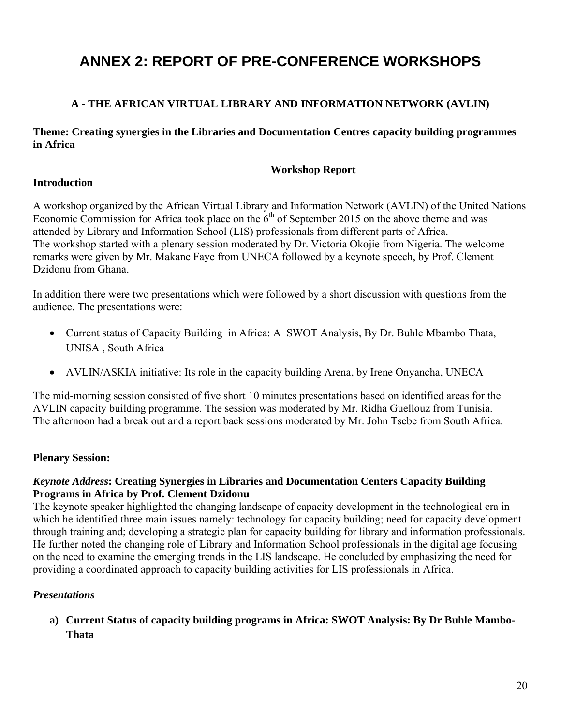# **ANNEX 2: REPORT OF PRE-CONFERENCE WORKSHOPS**

## **A - THE AFRICAN VIRTUAL LIBRARY AND INFORMATION NETWORK (AVLIN)**

**Theme: Creating synergies in the Libraries and Documentation Centres capacity building programmes in Africa** 

### **Workshop Report**

#### **Introduction**

A workshop organized by the African Virtual Library and Information Network (AVLIN) of the United Nations Economic Commission for Africa took place on the  $6<sup>th</sup>$  of September 2015 on the above theme and was attended by Library and Information School (LIS) professionals from different parts of Africa. The workshop started with a plenary session moderated by Dr. Victoria Okojie from Nigeria. The welcome remarks were given by Mr. Makane Faye from UNECA followed by a keynote speech, by Prof. Clement Dzidonu from Ghana.

In addition there were two presentations which were followed by a short discussion with questions from the audience. The presentations were:

- Current status of Capacity Building in Africa: A SWOT Analysis, By Dr. Buhle Mbambo Thata, UNISA , South Africa
- AVLIN/ASKIA initiative: Its role in the capacity building Arena, by Irene Onyancha, UNECA

The mid-morning session consisted of five short 10 minutes presentations based on identified areas for the AVLIN capacity building programme. The session was moderated by Mr. Ridha Guellouz from Tunisia. The afternoon had a break out and a report back sessions moderated by Mr. John Tsebe from South Africa.

## **Plenary Session:**

## *Keynote Address***: Creating Synergies in Libraries and Documentation Centers Capacity Building Programs in Africa by Prof. Clement Dzidonu**

The keynote speaker highlighted the changing landscape of capacity development in the technological era in which he identified three main issues namely: technology for capacity building; need for capacity development through training and; developing a strategic plan for capacity building for library and information professionals. He further noted the changing role of Library and Information School professionals in the digital age focusing on the need to examine the emerging trends in the LIS landscape. He concluded by emphasizing the need for providing a coordinated approach to capacity building activities for LIS professionals in Africa.

## *Presentations*

**a) Current Status of capacity building programs in Africa: SWOT Analysis: By Dr Buhle Mambo-Thata**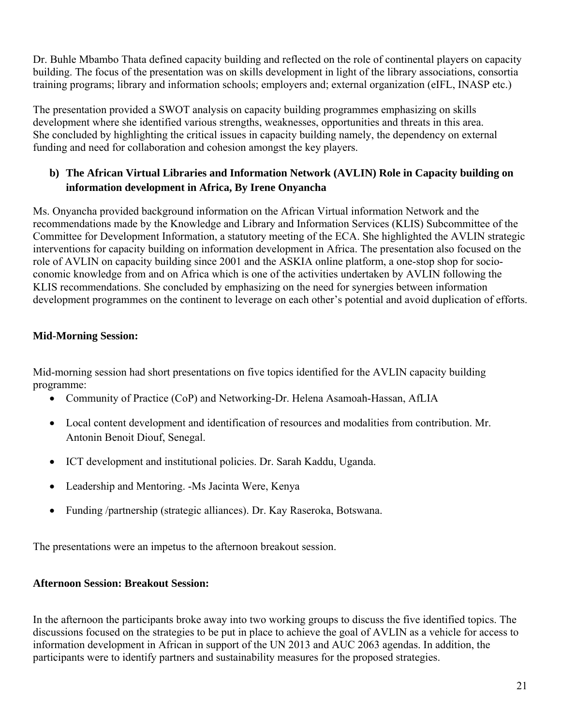Dr. Buhle Mbambo Thata defined capacity building and reflected on the role of continental players on capacity building. The focus of the presentation was on skills development in light of the library associations, consortia training programs; library and information schools; employers and; external organization (eIFL, INASP etc.)

The presentation provided a SWOT analysis on capacity building programmes emphasizing on skills development where she identified various strengths, weaknesses, opportunities and threats in this area. She concluded by highlighting the critical issues in capacity building namely, the dependency on external funding and need for collaboration and cohesion amongst the key players.

## **b) The African Virtual Libraries and Information Network (AVLIN) Role in Capacity building on information development in Africa, By Irene Onyancha**

Ms. Onyancha provided background information on the African Virtual information Network and the recommendations made by the Knowledge and Library and Information Services (KLIS) Subcommittee of the Committee for Development Information, a statutory meeting of the ECA. She highlighted the AVLIN strategic interventions for capacity building on information development in Africa. The presentation also focused on the role of AVLIN on capacity building since 2001 and the ASKIA online platform, a one-stop shop for socioconomic knowledge from and on Africa which is one of the activities undertaken by AVLIN following the KLIS recommendations. She concluded by emphasizing on the need for synergies between information development programmes on the continent to leverage on each other's potential and avoid duplication of efforts.

## **Mid-Morning Session:**

Mid-morning session had short presentations on five topics identified for the AVLIN capacity building programme:

- Community of Practice (CoP) and Networking-Dr. Helena Asamoah-Hassan, AfLIA
- Local content development and identification of resources and modalities from contribution. Mr. Antonin Benoit Diouf, Senegal.
- ICT development and institutional policies. Dr. Sarah Kaddu, Uganda.
- Leadership and Mentoring. -Ms Jacinta Were, Kenya
- Funding /partnership (strategic alliances). Dr. Kay Raseroka, Botswana.

The presentations were an impetus to the afternoon breakout session.

# **Afternoon Session: Breakout Session:**

In the afternoon the participants broke away into two working groups to discuss the five identified topics. The discussions focused on the strategies to be put in place to achieve the goal of AVLIN as a vehicle for access to information development in African in support of the UN 2013 and AUC 2063 agendas. In addition, the participants were to identify partners and sustainability measures for the proposed strategies.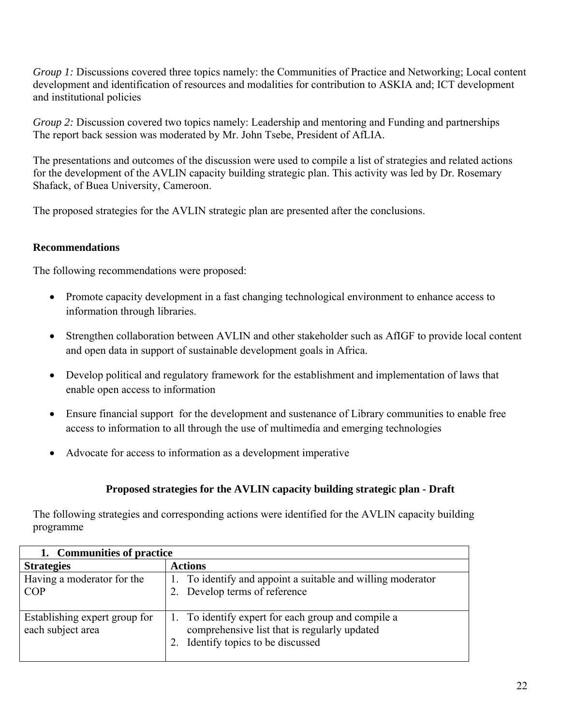*Group 1:* Discussions covered three topics namely: the Communities of Practice and Networking; Local content development and identification of resources and modalities for contribution to ASKIA and; ICT development and institutional policies

*Group 2:* Discussion covered two topics namely: Leadership and mentoring and Funding and partnerships The report back session was moderated by Mr. John Tsebe, President of AfLIA.

The presentations and outcomes of the discussion were used to compile a list of strategies and related actions for the development of the AVLIN capacity building strategic plan. This activity was led by Dr. Rosemary Shafack, of Buea University, Cameroon.

The proposed strategies for the AVLIN strategic plan are presented after the conclusions.

## **Recommendations**

The following recommendations were proposed:

- Promote capacity development in a fast changing technological environment to enhance access to information through libraries.
- Strengthen collaboration between AVLIN and other stakeholder such as AfIGF to provide local content and open data in support of sustainable development goals in Africa.
- Develop political and regulatory framework for the establishment and implementation of laws that enable open access to information
- Ensure financial support for the development and sustenance of Library communities to enable free access to information to all through the use of multimedia and emerging technologies
- Advocate for access to information as a development imperative

## **Proposed strategies for the AVLIN capacity building strategic plan - Draft**

The following strategies and corresponding actions were identified for the AVLIN capacity building programme

| 1. Communities of practice                         |                                                                                                                                          |  |
|----------------------------------------------------|------------------------------------------------------------------------------------------------------------------------------------------|--|
| <b>Strategies</b>                                  | <b>Actions</b>                                                                                                                           |  |
| Having a moderator for the<br><b>COP</b>           | To identify and appoint a suitable and willing moderator<br>2. Develop terms of reference                                                |  |
| Establishing expert group for<br>each subject area | 1. To identify expert for each group and compile a<br>comprehensive list that is regularly updated<br>2. Identify topics to be discussed |  |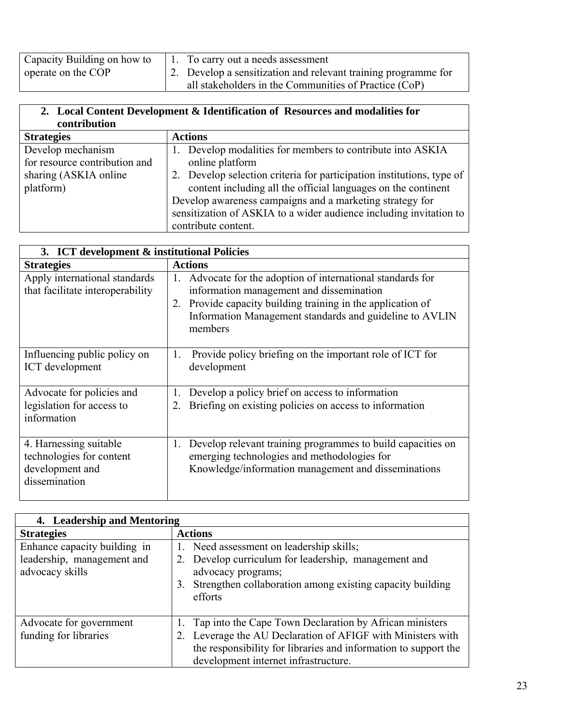| Capacity Building on how to | 1. To carry out a needs assessment                             |
|-----------------------------|----------------------------------------------------------------|
| operate on the COP          | 2. Develop a sensitization and relevant training programme for |
|                             | all stakeholders in the Communities of Practice (CoP)          |

| 2. Local Content Development & Identification of Resources and modalities for<br>contribution |                                                                                                                                                                                                                                                                                                                                                                               |
|-----------------------------------------------------------------------------------------------|-------------------------------------------------------------------------------------------------------------------------------------------------------------------------------------------------------------------------------------------------------------------------------------------------------------------------------------------------------------------------------|
| <b>Strategies</b>                                                                             | <b>Actions</b>                                                                                                                                                                                                                                                                                                                                                                |
| Develop mechanism<br>for resource contribution and<br>sharing (ASKIA online<br>platform)      | Develop modalities for members to contribute into ASKIA<br>online platform<br>2. Develop selection criteria for participation institutions, type of<br>content including all the official languages on the continent<br>Develop awareness campaigns and a marketing strategy for<br>sensitization of ASKIA to a wider audience including invitation to<br>contribute content. |

| 3. ICT development & institutional Policies                                            |                                                                                                                                                                                                                                                    |
|----------------------------------------------------------------------------------------|----------------------------------------------------------------------------------------------------------------------------------------------------------------------------------------------------------------------------------------------------|
| <b>Strategies</b>                                                                      | <b>Actions</b>                                                                                                                                                                                                                                     |
| Apply international standards<br>that facilitate interoperability                      | Advocate for the adoption of international standards for<br>1.<br>information management and dissemination<br>Provide capacity building training in the application of<br>2.<br>Information Management standards and guideline to AVLIN<br>members |
| Influencing public policy on<br>ICT development                                        | Provide policy briefing on the important role of ICT for<br>1.<br>development                                                                                                                                                                      |
| Advocate for policies and<br>legislation for access to<br>information                  | Develop a policy brief on access to information<br>1.<br>Briefing on existing policies on access to information<br>2.                                                                                                                              |
| 4. Harnessing suitable<br>technologies for content<br>development and<br>dissemination | Develop relevant training programmes to build capacities on<br>1.<br>emerging technologies and methodologies for<br>Knowledge/information management and disseminations                                                                            |

| 4. Leadership and Mentoring                                                   |                                                                                                                                                                                                                                   |
|-------------------------------------------------------------------------------|-----------------------------------------------------------------------------------------------------------------------------------------------------------------------------------------------------------------------------------|
| <b>Strategies</b>                                                             | <b>Actions</b>                                                                                                                                                                                                                    |
| Enhance capacity building in<br>leadership, management and<br>advocacy skills | 1. Need assessment on leadership skills;<br>2. Develop curriculum for leadership, management and<br>advocacy programs;<br>Strengthen collaboration among existing capacity building<br>3.<br>efforts                              |
| Advocate for government<br>funding for libraries                              | 1. Tap into the Cape Town Declaration by African ministers<br>Leverage the AU Declaration of AFIGF with Ministers with<br>the responsibility for libraries and information to support the<br>development internet infrastructure. |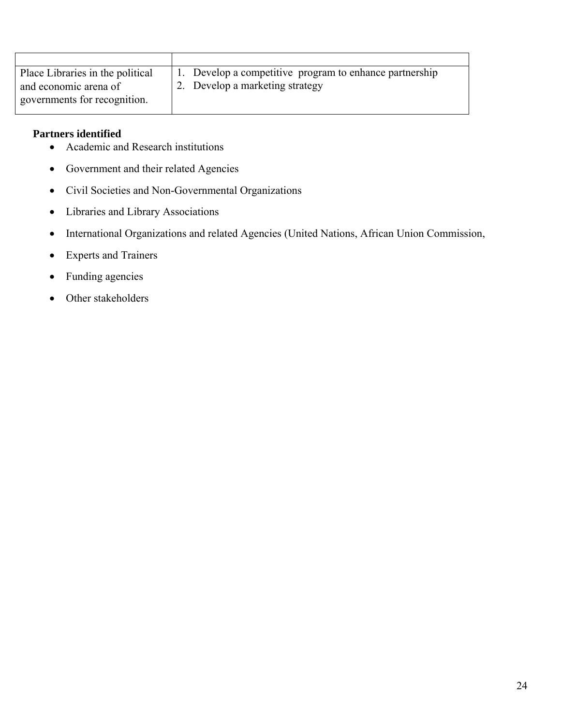| Place Libraries in the political | 1. Develop a competitive program to enhance partnership |
|----------------------------------|---------------------------------------------------------|
| and economic arena of            | 2. Develop a marketing strategy                         |
| governments for recognition.     |                                                         |

## **Partners identified**

- Academic and Research institutions
- Government and their related Agencies
- Civil Societies and Non-Governmental Organizations
- Libraries and Library Associations
- International Organizations and related Agencies (United Nations, African Union Commission,
- Experts and Trainers
- Funding agencies
- Other stakeholders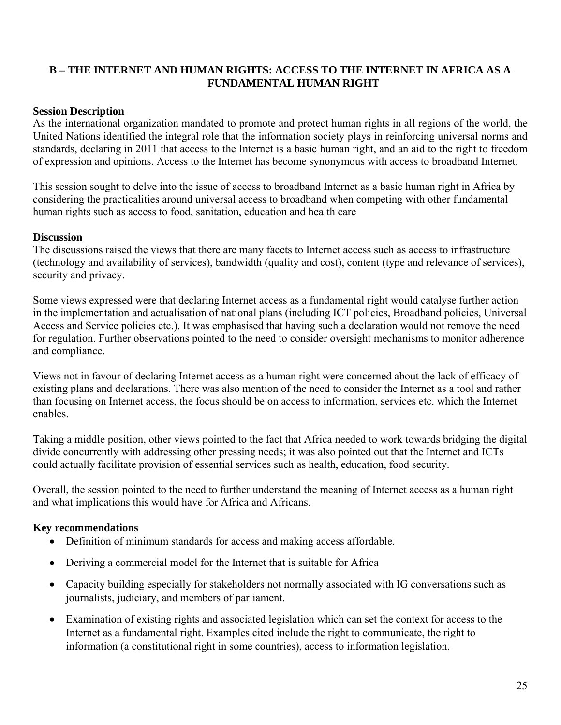## **B – THE INTERNET AND HUMAN RIGHTS: ACCESS TO THE INTERNET IN AFRICA AS A FUNDAMENTAL HUMAN RIGHT**

#### **Session Description**

As the international organization mandated to promote and protect human rights in all regions of the world, the United Nations identified the integral role that the information society plays in reinforcing universal norms and standards, declaring in 2011 that access to the Internet is a basic human right, and an aid to the right to freedom of expression and opinions. Access to the Internet has become synonymous with access to broadband Internet.

This session sought to delve into the issue of access to broadband Internet as a basic human right in Africa by considering the practicalities around universal access to broadband when competing with other fundamental human rights such as access to food, sanitation, education and health care

#### **Discussion**

The discussions raised the views that there are many facets to Internet access such as access to infrastructure (technology and availability of services), bandwidth (quality and cost), content (type and relevance of services), security and privacy.

Some views expressed were that declaring Internet access as a fundamental right would catalyse further action in the implementation and actualisation of national plans (including ICT policies, Broadband policies, Universal Access and Service policies etc.). It was emphasised that having such a declaration would not remove the need for regulation. Further observations pointed to the need to consider oversight mechanisms to monitor adherence and compliance.

Views not in favour of declaring Internet access as a human right were concerned about the lack of efficacy of existing plans and declarations. There was also mention of the need to consider the Internet as a tool and rather than focusing on Internet access, the focus should be on access to information, services etc. which the Internet enables.

Taking a middle position, other views pointed to the fact that Africa needed to work towards bridging the digital divide concurrently with addressing other pressing needs; it was also pointed out that the Internet and ICTs could actually facilitate provision of essential services such as health, education, food security.

Overall, the session pointed to the need to further understand the meaning of Internet access as a human right and what implications this would have for Africa and Africans.

#### **Key recommendations**

- Definition of minimum standards for access and making access affordable.
- Deriving a commercial model for the Internet that is suitable for Africa
- Capacity building especially for stakeholders not normally associated with IG conversations such as journalists, judiciary, and members of parliament.
- Examination of existing rights and associated legislation which can set the context for access to the Internet as a fundamental right. Examples cited include the right to communicate, the right to information (a constitutional right in some countries), access to information legislation.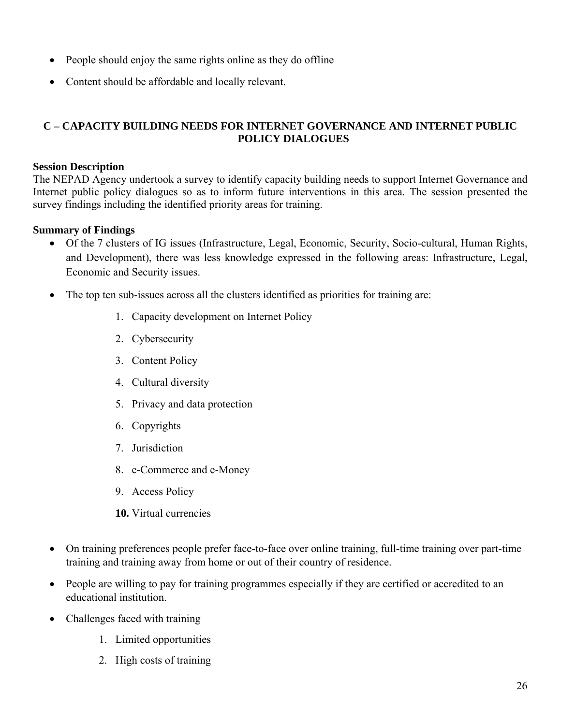- People should enjoy the same rights online as they do offline
- Content should be affordable and locally relevant.

## **C – CAPACITY BUILDING NEEDS FOR INTERNET GOVERNANCE AND INTERNET PUBLIC POLICY DIALOGUES**

#### **Session Description**

The NEPAD Agency undertook a survey to identify capacity building needs to support Internet Governance and Internet public policy dialogues so as to inform future interventions in this area. The session presented the survey findings including the identified priority areas for training.

#### **Summary of Findings**

- Of the 7 clusters of IG issues (Infrastructure, Legal, Economic, Security, Socio-cultural, Human Rights, and Development), there was less knowledge expressed in the following areas: Infrastructure, Legal, Economic and Security issues.
- The top ten sub-issues across all the clusters identified as priorities for training are:
	- 1. Capacity development on Internet Policy
	- 2. Cybersecurity
	- 3. Content Policy
	- 4. Cultural diversity
	- 5. Privacy and data protection
	- 6. Copyrights
	- 7. Jurisdiction
	- 8. e-Commerce and e-Money
	- 9. Access Policy
	- **10.** Virtual currencies
- On training preferences people prefer face-to-face over online training, full-time training over part-time training and training away from home or out of their country of residence.
- People are willing to pay for training programmes especially if they are certified or accredited to an educational institution.
- Challenges faced with training
	- 1. Limited opportunities
	- 2. High costs of training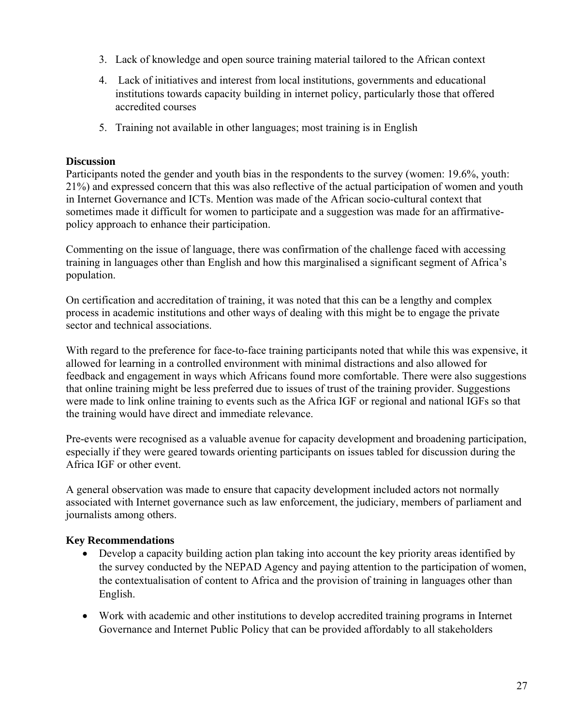- 3. Lack of knowledge and open source training material tailored to the African context
- 4. Lack of initiatives and interest from local institutions, governments and educational institutions towards capacity building in internet policy, particularly those that offered accredited courses
- 5. Training not available in other languages; most training is in English

## **Discussion**

Participants noted the gender and youth bias in the respondents to the survey (women: 19.6%, youth: 21%) and expressed concern that this was also reflective of the actual participation of women and youth in Internet Governance and ICTs. Mention was made of the African socio-cultural context that sometimes made it difficult for women to participate and a suggestion was made for an affirmativepolicy approach to enhance their participation.

Commenting on the issue of language, there was confirmation of the challenge faced with accessing training in languages other than English and how this marginalised a significant segment of Africa's population.

On certification and accreditation of training, it was noted that this can be a lengthy and complex process in academic institutions and other ways of dealing with this might be to engage the private sector and technical associations.

With regard to the preference for face-to-face training participants noted that while this was expensive, it allowed for learning in a controlled environment with minimal distractions and also allowed for feedback and engagement in ways which Africans found more comfortable. There were also suggestions that online training might be less preferred due to issues of trust of the training provider. Suggestions were made to link online training to events such as the Africa IGF or regional and national IGFs so that the training would have direct and immediate relevance.

Pre-events were recognised as a valuable avenue for capacity development and broadening participation, especially if they were geared towards orienting participants on issues tabled for discussion during the Africa IGF or other event.

A general observation was made to ensure that capacity development included actors not normally associated with Internet governance such as law enforcement, the judiciary, members of parliament and journalists among others.

## **Key Recommendations**

- Develop a capacity building action plan taking into account the key priority areas identified by the survey conducted by the NEPAD Agency and paying attention to the participation of women, the contextualisation of content to Africa and the provision of training in languages other than English.
- Work with academic and other institutions to develop accredited training programs in Internet Governance and Internet Public Policy that can be provided affordably to all stakeholders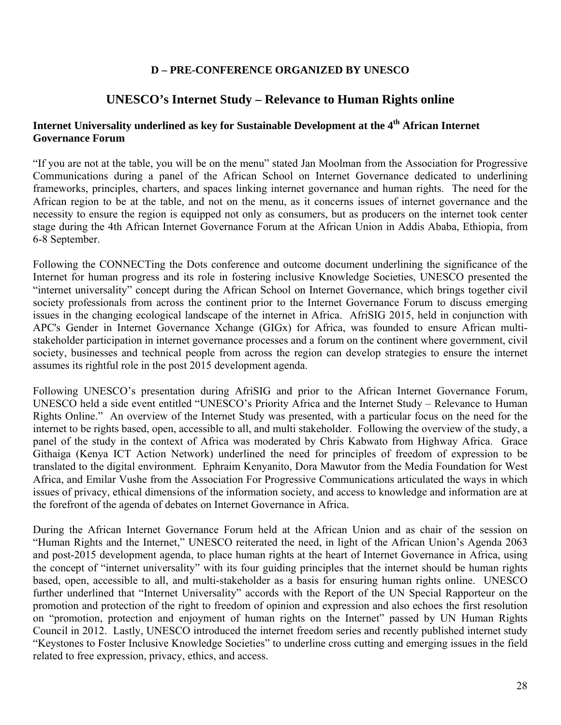## **D – PRE-CONFERENCE ORGANIZED BY UNESCO**

## **UNESCO's Internet Study – Relevance to Human Rights online**

## **Internet Universality underlined as key for Sustainable Development at the 4th African Internet Governance Forum**

"If you are not at the table, you will be on the menu" stated Jan Moolman from the Association for Progressive Communications during a panel of the African School on Internet Governance dedicated to underlining frameworks, principles, charters, and spaces linking internet governance and human rights. The need for the African region to be at the table, and not on the menu, as it concerns issues of internet governance and the necessity to ensure the region is equipped not only as consumers, but as producers on the internet took center stage during the 4th African Internet Governance Forum at the African Union in Addis Ababa, Ethiopia, from 6-8 September.

Following the CONNECTing the Dots conference and outcome document underlining the significance of the Internet for human progress and its role in fostering inclusive Knowledge Societies, UNESCO presented the "internet universality" concept during the African School on Internet Governance, which brings together civil society professionals from across the continent prior to the Internet Governance Forum to discuss emerging issues in the changing ecological landscape of the internet in Africa. AfriSIG 2015, held in conjunction with APC's Gender in Internet Governance Xchange (GIGx) for Africa, was founded to ensure African multistakeholder participation in internet governance processes and a forum on the continent where government, civil society, businesses and technical people from across the region can develop strategies to ensure the internet assumes its rightful role in the post 2015 development agenda.

Following UNESCO's presentation during AfriSIG and prior to the African Internet Governance Forum, UNESCO held a side event entitled "UNESCO's Priority Africa and the Internet Study – Relevance to Human Rights Online." An overview of the Internet Study was presented, with a particular focus on the need for the internet to be rights based, open, accessible to all, and multi stakeholder. Following the overview of the study, a panel of the study in the context of Africa was moderated by Chris Kabwato from Highway Africa. Grace Githaiga (Kenya ICT Action Network) underlined the need for principles of freedom of expression to be translated to the digital environment. Ephraim Kenyanito, Dora Mawutor from the Media Foundation for West Africa, and Emilar Vushe from the Association For Progressive Communications articulated the ways in which issues of privacy, ethical dimensions of the information society, and access to knowledge and information are at the forefront of the agenda of debates on Internet Governance in Africa.

During the African Internet Governance Forum held at the African Union and as chair of the session on "Human Rights and the Internet," UNESCO reiterated the need, in light of the African Union's Agenda 2063 and post-2015 development agenda, to place human rights at the heart of Internet Governance in Africa, using the concept of "internet universality" with its four guiding principles that the internet should be human rights based, open, accessible to all, and multi-stakeholder as a basis for ensuring human rights online. UNESCO further underlined that "Internet Universality" accords with the Report of the UN Special Rapporteur on the promotion and protection of the right to freedom of opinion and expression and also echoes the first resolution on "promotion, protection and enjoyment of human rights on the Internet" passed by UN Human Rights Council in 2012. Lastly, UNESCO introduced the internet freedom series and recently published internet study "Keystones to Foster Inclusive Knowledge Societies" to underline cross cutting and emerging issues in the field related to free expression, privacy, ethics, and access.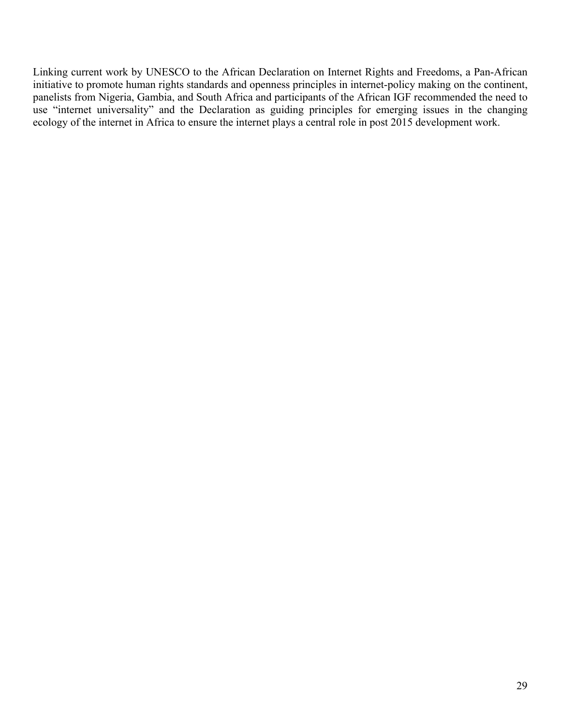Linking current work by UNESCO to the African Declaration on Internet Rights and Freedoms, a Pan-African initiative to promote human rights standards and openness principles in internet-policy making on the continent, panelists from Nigeria, Gambia, and South Africa and participants of the African IGF recommended the need to use "internet universality" and the Declaration as guiding principles for emerging issues in the changing ecology of the internet in Africa to ensure the internet plays a central role in post 2015 development work.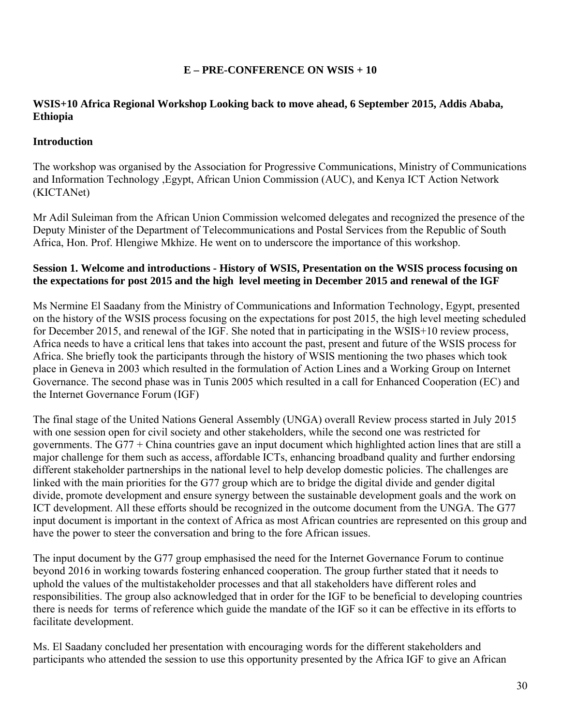## **E – PRE-CONFERENCE ON WSIS + 10**

## **WSIS+10 Africa Regional Workshop Looking back to move ahead, 6 September 2015, Addis Ababa, Ethiopia**

## **Introduction**

The workshop was organised by the Association for Progressive Communications, Ministry of Communications and Information Technology ,Egypt, African Union Commission (AUC), and Kenya ICT Action Network (KICTANet)

Mr Adil Suleiman from the African Union Commission welcomed delegates and recognized the presence of the Deputy Minister of the Department of Telecommunications and Postal Services from the Republic of South Africa, Hon. Prof. Hlengiwe Mkhize. He went on to underscore the importance of this workshop.

### **Session 1. Welcome and introductions - History of WSIS, Presentation on the WSIS process focusing on the expectations for post 2015 and the high level meeting in December 2015 and renewal of the IGF**

Ms Nermine El Saadany from the Ministry of Communications and Information Technology, Egypt, presented on the history of the WSIS process focusing on the expectations for post 2015, the high level meeting scheduled for December 2015, and renewal of the IGF. She noted that in participating in the WSIS+10 review process, Africa needs to have a critical lens that takes into account the past, present and future of the WSIS process for Africa. She briefly took the participants through the history of WSIS mentioning the two phases which took place in Geneva in 2003 which resulted in the formulation of Action Lines and a Working Group on Internet Governance. The second phase was in Tunis 2005 which resulted in a call for Enhanced Cooperation (EC) and the Internet Governance Forum (IGF)

The final stage of the United Nations General Assembly (UNGA) overall Review process started in July 2015 with one session open for civil society and other stakeholders, while the second one was restricted for governments. The G77 + China countries gave an input document which highlighted action lines that are still a major challenge for them such as access, affordable ICTs, enhancing broadband quality and further endorsing different stakeholder partnerships in the national level to help develop domestic policies. The challenges are linked with the main priorities for the G77 group which are to bridge the digital divide and gender digital divide, promote development and ensure synergy between the sustainable development goals and the work on ICT development. All these efforts should be recognized in the outcome document from the UNGA. The G77 input document is important in the context of Africa as most African countries are represented on this group and have the power to steer the conversation and bring to the fore African issues.

The input document by the G77 group emphasised the need for the Internet Governance Forum to continue beyond 2016 in working towards fostering enhanced cooperation. The group further stated that it needs to uphold the values of the multistakeholder processes and that all stakeholders have different roles and responsibilities. The group also acknowledged that in order for the IGF to be beneficial to developing countries there is needs for terms of reference which guide the mandate of the IGF so it can be effective in its efforts to facilitate development.

Ms. El Saadany concluded her presentation with encouraging words for the different stakeholders and participants who attended the session to use this opportunity presented by the Africa IGF to give an African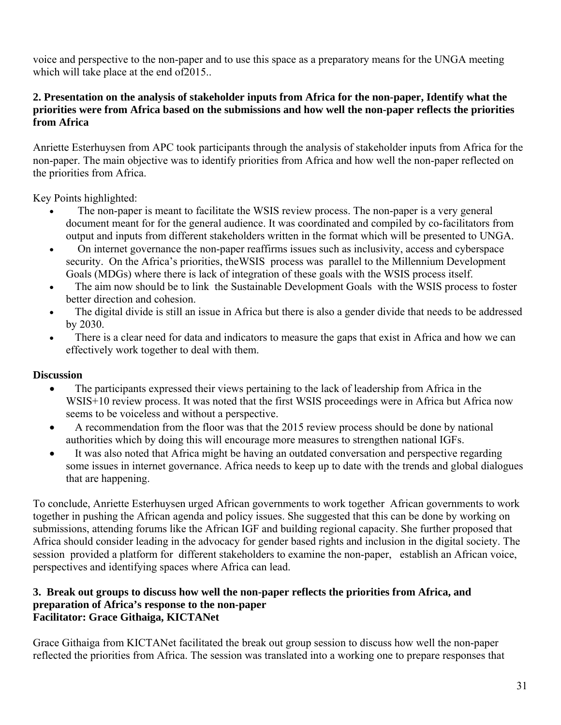voice and perspective to the non-paper and to use this space as a preparatory means for the UNGA meeting which will take place at the end of 2015..

## **2. Presentation on the analysis of stakeholder inputs from Africa for the non-paper, Identify what the priorities were from Africa based on the submissions and how well the non-paper reflects the priorities from Africa**

Anriette Esterhuysen from APC took participants through the analysis of stakeholder inputs from Africa for the non-paper. The main objective was to identify priorities from Africa and how well the non-paper reflected on the priorities from Africa.

Key Points highlighted:

- The non-paper is meant to facilitate the WSIS review process. The non-paper is a very general document meant for for the general audience. It was coordinated and compiled by co-facilitators from output and inputs from different stakeholders written in the format which will be presented to UNGA.
- On internet governance the non-paper reaffirms issues such as inclusivity, access and cyberspace security. On the Africa's priorities, theWSIS process was parallel to the Millennium Development Goals (MDGs) where there is lack of integration of these goals with the WSIS process itself.
- The aim now should be to link the Sustainable Development Goals with the WSIS process to foster better direction and cohesion.
- The digital divide is still an issue in Africa but there is also a gender divide that needs to be addressed by 2030.
- There is a clear need for data and indicators to measure the gaps that exist in Africa and how we can effectively work together to deal with them.

## **Discussion**

- The participants expressed their views pertaining to the lack of leadership from Africa in the WSIS+10 review process. It was noted that the first WSIS proceedings were in Africa but Africa now seems to be voiceless and without a perspective.
- A recommendation from the floor was that the 2015 review process should be done by national authorities which by doing this will encourage more measures to strengthen national IGFs.
- It was also noted that Africa might be having an outdated conversation and perspective regarding some issues in internet governance. Africa needs to keep up to date with the trends and global dialogues that are happening.

To conclude, Anriette Esterhuysen urged African governments to work together African governments to work together in pushing the African agenda and policy issues. She suggested that this can be done by working on submissions, attending forums like the African IGF and building regional capacity. She further proposed that Africa should consider leading in the advocacy for gender based rights and inclusion in the digital society. The session provided a platform for different stakeholders to examine the non-paper, establish an African voice, perspectives and identifying spaces where Africa can lead.

### **3. Break out groups to discuss how well the non-paper reflects the priorities from Africa, and preparation of Africa's response to the non-paper Facilitator: Grace Githaiga, KICTANet**

Grace Githaiga from KICTANet facilitated the break out group session to discuss how well the non-paper reflected the priorities from Africa. The session was translated into a working one to prepare responses that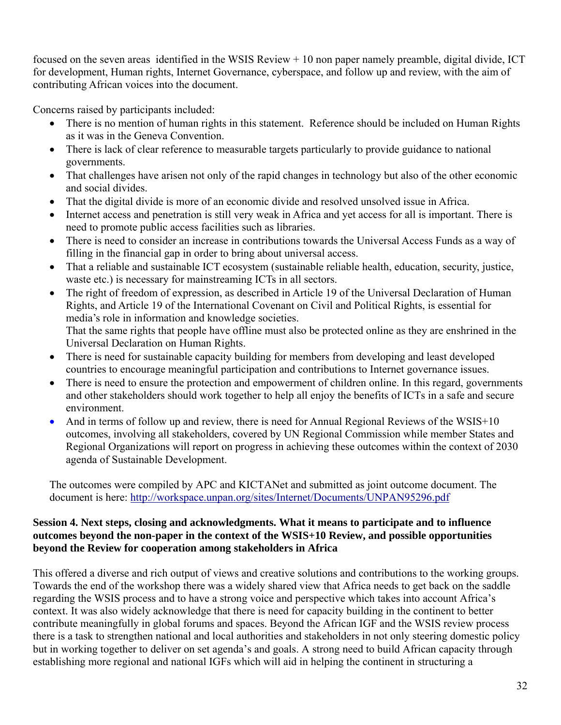focused on the seven areas identified in the WSIS Review + 10 non paper namely preamble, digital divide, ICT for development, Human rights, Internet Governance, cyberspace, and follow up and review, with the aim of contributing African voices into the document.

Concerns raised by participants included:

- There is no mention of human rights in this statement. Reference should be included on Human Rights as it was in the Geneva Convention.
- There is lack of clear reference to measurable targets particularly to provide guidance to national governments.
- That challenges have arisen not only of the rapid changes in technology but also of the other economic and social divides.
- That the digital divide is more of an economic divide and resolved unsolved issue in Africa.
- Internet access and penetration is still very weak in Africa and yet access for all is important. There is need to promote public access facilities such as libraries.
- There is need to consider an increase in contributions towards the Universal Access Funds as a way of filling in the financial gap in order to bring about universal access.
- That a reliable and sustainable ICT ecosystem (sustainable reliable health, education, security, justice, waste etc.) is necessary for mainstreaming ICTs in all sectors.
- The right of freedom of expression, as described in Article 19 of the Universal Declaration of Human Rights, and Article 19 of the International Covenant on Civil and Political Rights, is essential for media's role in information and knowledge societies. That the same rights that people have offline must also be protected online as they are enshrined in the Universal Declaration on Human Rights.
- There is need for sustainable capacity building for members from developing and least developed countries to encourage meaningful participation and contributions to Internet governance issues.
- There is need to ensure the protection and empowerment of children online. In this regard, governments and other stakeholders should work together to help all enjoy the benefits of ICTs in a safe and secure environment.
- And in terms of follow up and review, there is need for Annual Regional Reviews of the WSIS+10 outcomes, involving all stakeholders, covered by UN Regional Commission while member States and Regional Organizations will report on progress in achieving these outcomes within the context of 2030 agenda of Sustainable Development.

The outcomes were compiled by APC and KICTANet and submitted as joint outcome document. The document is here: http://workspace.unpan.org/sites/Internet/Documents/UNPAN95296.pdf

### **Session 4. Next steps, closing and acknowledgments. What it means to participate and to influence outcomes beyond the non-paper in the context of the WSIS+10 Review, and possible opportunities beyond the Review for cooperation among stakeholders in Africa**

This offered a diverse and rich output of views and creative solutions and contributions to the working groups. Towards the end of the workshop there was a widely shared view that Africa needs to get back on the saddle regarding the WSIS process and to have a strong voice and perspective which takes into account Africa's context. It was also widely acknowledge that there is need for capacity building in the continent to better contribute meaningfully in global forums and spaces. Beyond the African IGF and the WSIS review process there is a task to strengthen national and local authorities and stakeholders in not only steering domestic policy but in working together to deliver on set agenda's and goals. A strong need to build African capacity through establishing more regional and national IGFs which will aid in helping the continent in structuring a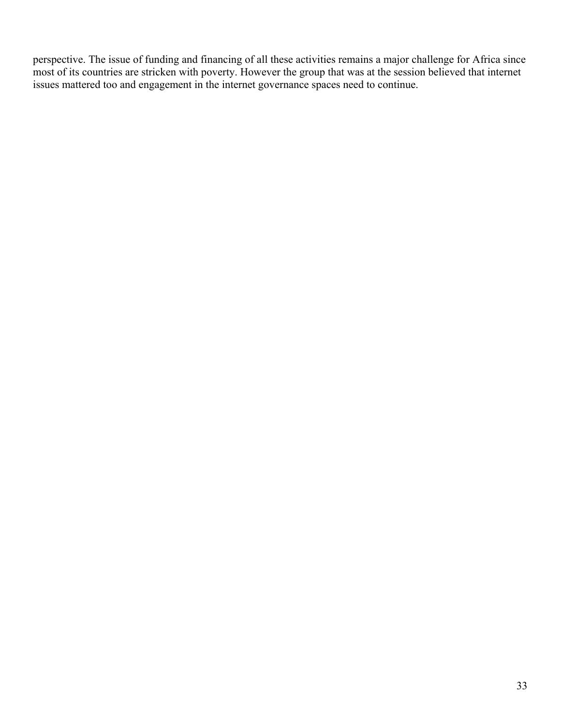perspective. The issue of funding and financing of all these activities remains a major challenge for Africa since most of its countries are stricken with poverty. However the group that was at the session believed that internet issues mattered too and engagement in the internet governance spaces need to continue.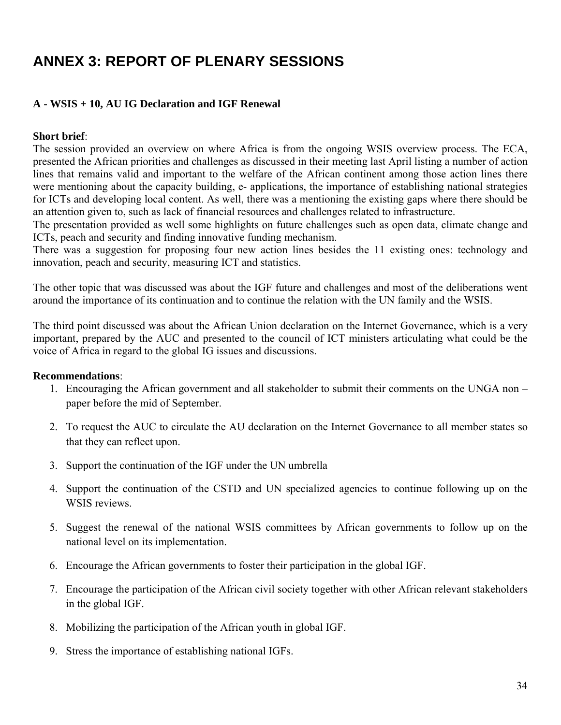# **ANNEX 3: REPORT OF PLENARY SESSIONS**

## **A - WSIS + 10, AU IG Declaration and IGF Renewal**

### **Short brief**:

The session provided an overview on where Africa is from the ongoing WSIS overview process. The ECA, presented the African priorities and challenges as discussed in their meeting last April listing a number of action lines that remains valid and important to the welfare of the African continent among those action lines there were mentioning about the capacity building, e- applications, the importance of establishing national strategies for ICTs and developing local content. As well, there was a mentioning the existing gaps where there should be an attention given to, such as lack of financial resources and challenges related to infrastructure.

The presentation provided as well some highlights on future challenges such as open data, climate change and ICTs, peach and security and finding innovative funding mechanism.

There was a suggestion for proposing four new action lines besides the 11 existing ones: technology and innovation, peach and security, measuring ICT and statistics.

The other topic that was discussed was about the IGF future and challenges and most of the deliberations went around the importance of its continuation and to continue the relation with the UN family and the WSIS.

The third point discussed was about the African Union declaration on the Internet Governance, which is a very important, prepared by the AUC and presented to the council of ICT ministers articulating what could be the voice of Africa in regard to the global IG issues and discussions.

#### **Recommendations**:

- 1. Encouraging the African government and all stakeholder to submit their comments on the UNGA non paper before the mid of September.
- 2. To request the AUC to circulate the AU declaration on the Internet Governance to all member states so that they can reflect upon.
- 3. Support the continuation of the IGF under the UN umbrella
- 4. Support the continuation of the CSTD and UN specialized agencies to continue following up on the WSIS reviews.
- 5. Suggest the renewal of the national WSIS committees by African governments to follow up on the national level on its implementation.
- 6. Encourage the African governments to foster their participation in the global IGF.
- 7. Encourage the participation of the African civil society together with other African relevant stakeholders in the global IGF.
- 8. Mobilizing the participation of the African youth in global IGF.
- 9. Stress the importance of establishing national IGFs.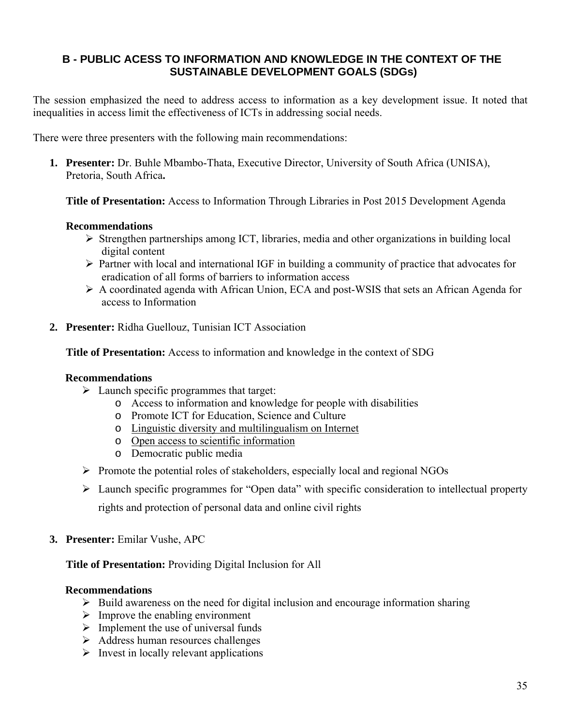## **B - PUBLIC ACESS TO INFORMATION AND KNOWLEDGE IN THE CONTEXT OF THE SUSTAINABLE DEVELOPMENT GOALS (SDGs)**

The session emphasized the need to address access to information as a key development issue. It noted that inequalities in access limit the effectiveness of ICTs in addressing social needs.

There were three presenters with the following main recommendations:

**1. Presenter:** Dr. Buhle Mbambo-Thata, Executive Director, University of South Africa (UNISA), Pretoria, South Africa**.** 

**Title of Presentation:** Access to Information Through Libraries in Post 2015 Development Agenda

## **Recommendations**

- $\triangleright$  Strengthen partnerships among ICT, libraries, media and other organizations in building local digital content
- $\triangleright$  Partner with local and international IGF in building a community of practice that advocates for eradication of all forms of barriers to information access
- ¾ A coordinated agenda with African Union, ECA and post-WSIS that sets an African Agenda for access to Information
- **2. Presenter:** Ridha Guellouz, Tunisian ICT Association

**Title of Presentation:** Access to information and knowledge in the context of SDG

#### **Recommendations**

- $\triangleright$  Launch specific programmes that target:
	- o Access to information and knowledge for people with disabilities
	- o Promote ICT for Education, Science and Culture
	- o Linguistic diversity and multilingualism on Internet
	- o Open access to scientific information
	- o Democratic public media
- ¾ Promote the potential roles of stakeholders, especially local and regional NGOs
- ¾ Launch specific programmes for "Open data" with specific consideration to intellectual property rights and protection of personal data and online civil rights
- **3. Presenter:** Emilar Vushe, APC

#### **Title of Presentation:** Providing Digital Inclusion for All

#### **Recommendations**

- $\triangleright$  Build awareness on the need for digital inclusion and encourage information sharing
- $\triangleright$  Improve the enabling environment
- $\triangleright$  Implement the use of universal funds
- ¾ Address human resources challenges
- $\triangleright$  Invest in locally relevant applications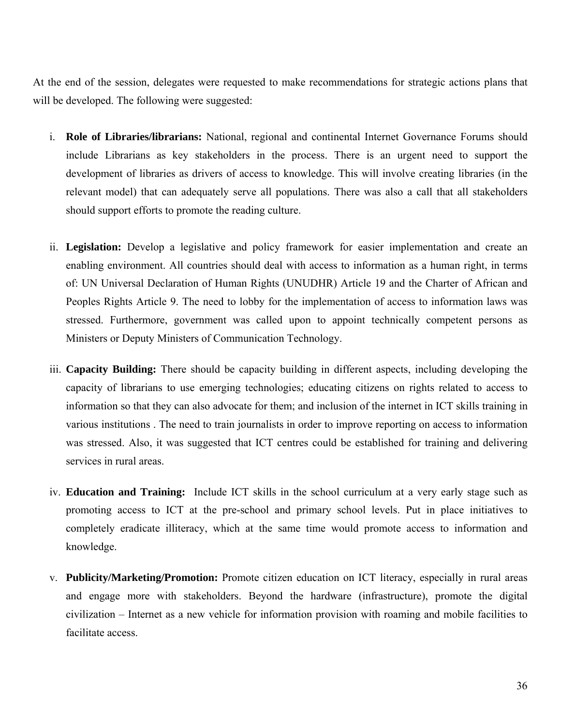At the end of the session, delegates were requested to make recommendations for strategic actions plans that will be developed. The following were suggested:

- i. **Role of Libraries/librarians:** National, regional and continental Internet Governance Forums should include Librarians as key stakeholders in the process. There is an urgent need to support the development of libraries as drivers of access to knowledge. This will involve creating libraries (in the relevant model) that can adequately serve all populations. There was also a call that all stakeholders should support efforts to promote the reading culture.
- ii. **Legislation:** Develop a legislative and policy framework for easier implementation and create an enabling environment. All countries should deal with access to information as a human right, in terms of: UN Universal Declaration of Human Rights (UNUDHR) Article 19 and the Charter of African and Peoples Rights Article 9. The need to lobby for the implementation of access to information laws was stressed. Furthermore, government was called upon to appoint technically competent persons as Ministers or Deputy Ministers of Communication Technology.
- iii. **Capacity Building:** There should be capacity building in different aspects, including developing the capacity of librarians to use emerging technologies; educating citizens on rights related to access to information so that they can also advocate for them; and inclusion of the internet in ICT skills training in various institutions . The need to train journalists in order to improve reporting on access to information was stressed. Also, it was suggested that ICT centres could be established for training and delivering services in rural areas.
- iv. **Education and Training:** Include ICT skills in the school curriculum at a very early stage such as promoting access to ICT at the pre-school and primary school levels. Put in place initiatives to completely eradicate illiteracy, which at the same time would promote access to information and knowledge.
- v. **Publicity/Marketing/Promotion:** Promote citizen education on ICT literacy, especially in rural areas and engage more with stakeholders. Beyond the hardware (infrastructure), promote the digital civilization – Internet as a new vehicle for information provision with roaming and mobile facilities to facilitate access.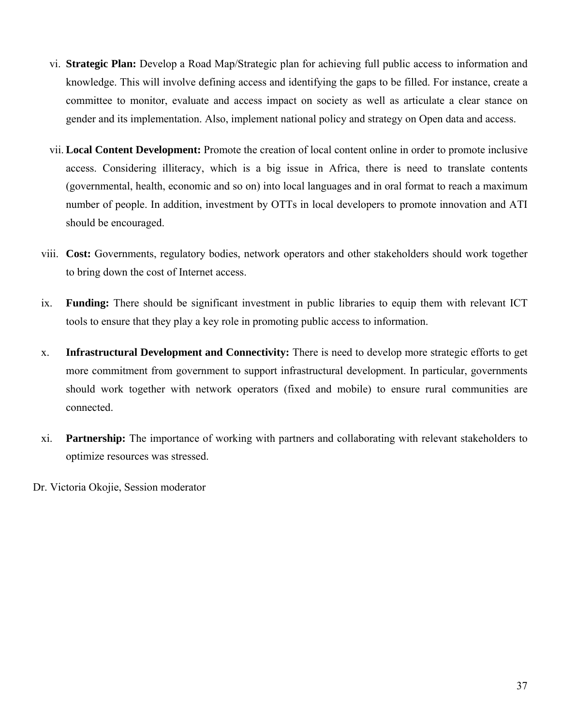- vi. **Strategic Plan:** Develop a Road Map/Strategic plan for achieving full public access to information and knowledge. This will involve defining access and identifying the gaps to be filled. For instance, create a committee to monitor, evaluate and access impact on society as well as articulate a clear stance on gender and its implementation. Also, implement national policy and strategy on Open data and access.
- vii. **Local Content Development:** Promote the creation of local content online in order to promote inclusive access. Considering illiteracy, which is a big issue in Africa, there is need to translate contents (governmental, health, economic and so on) into local languages and in oral format to reach a maximum number of people. In addition, investment by OTTs in local developers to promote innovation and ATI should be encouraged.
- viii. **Cost:** Governments, regulatory bodies, network operators and other stakeholders should work together to bring down the cost of Internet access.
- ix. **Funding:** There should be significant investment in public libraries to equip them with relevant ICT tools to ensure that they play a key role in promoting public access to information.
- x. **Infrastructural Development and Connectivity:** There is need to develop more strategic efforts to get more commitment from government to support infrastructural development. In particular, governments should work together with network operators (fixed and mobile) to ensure rural communities are connected.
- xi. **Partnership:** The importance of working with partners and collaborating with relevant stakeholders to optimize resources was stressed.

Dr. Victoria Okojie, Session moderator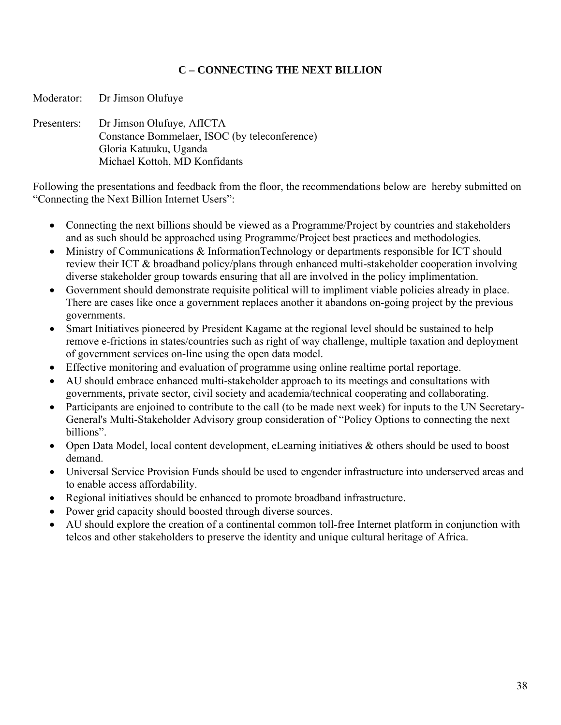## **C – CONNECTING THE NEXT BILLION**

Presenters: Dr Jimson Olufuye, AfICTA Constance Bommelaer, ISOC (by teleconference) Gloria Katuuku, Uganda Michael Kottoh, MD Konfidants

Moderator: Dr Jimson Olufuye

Following the presentations and feedback from the floor, the recommendations below are hereby submitted on "Connecting the Next Billion Internet Users":

- Connecting the next billions should be viewed as a Programme/Project by countries and stakeholders and as such should be approached using Programme/Project best practices and methodologies.
- Ministry of Communications & InformationTechnology or departments responsible for ICT should review their ICT & broadband policy/plans through enhanced multi-stakeholder cooperation involving diverse stakeholder group towards ensuring that all are involved in the policy implimentation.
- Government should demonstrate requisite political will to impliment viable policies already in place. There are cases like once a government replaces another it abandons on-going project by the previous governments.
- Smart Initiatives pioneered by President Kagame at the regional level should be sustained to help remove e-frictions in states/countries such as right of way challenge, multiple taxation and deployment of government services on-line using the open data model.
- Effective monitoring and evaluation of programme using online realtime portal reportage.
- AU should embrace enhanced multi-stakeholder approach to its meetings and consultations with governments, private sector, civil society and academia/technical cooperating and collaborating.
- Participants are enjoined to contribute to the call (to be made next week) for inputs to the UN Secretary-General's Multi-Stakeholder Advisory group consideration of "Policy Options to connecting the next billions".
- Open Data Model, local content development, eLearning initiatives & others should be used to boost demand.
- Universal Service Provision Funds should be used to engender infrastructure into underserved areas and to enable access affordability.
- Regional initiatives should be enhanced to promote broadband infrastructure.
- Power grid capacity should boosted through diverse sources.
- AU should explore the creation of a continental common toll-free Internet platform in conjunction with telcos and other stakeholders to preserve the identity and unique cultural heritage of Africa.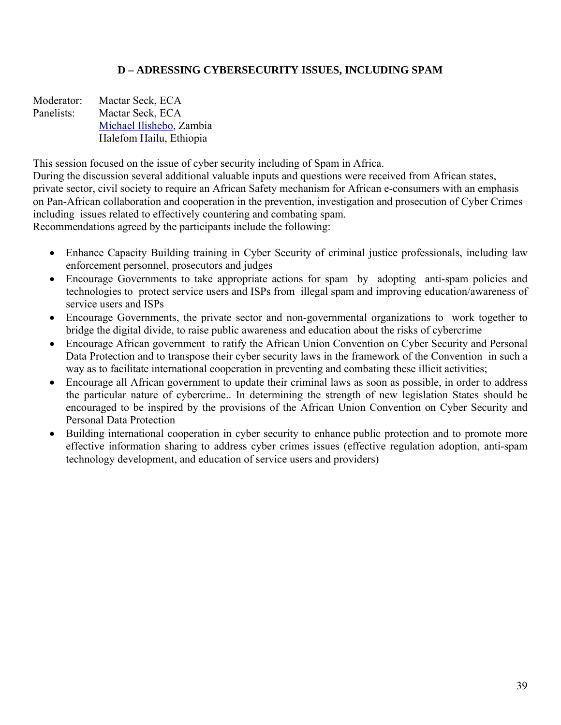## **D – ADRESSING CYBERSECURITY ISSUES, INCLUDING SPAM**

Moderator: Mactar Seck, ECA Panelists: Mactar Seck, ECA Michael Ilishebo, Zambia Halefom Hailu, Ethiopia

This session focused on the issue of cyber security including of Spam in Africa. During the discussion several additional valuable inputs and questions were received from African states, private sector, civil society to require an African Safety mechanism for African e-consumers with an emphasis on Pan-African collaboration and cooperation in the prevention, investigation and prosecution of Cyber Crimes including issues related to effectively countering and combating spam. Recommendations agreed by the participants include the following:

- Enhance Capacity Building training in Cyber Security of criminal justice professionals, including law enforcement personnel, prosecutors and judges
- Encourage Governments to take appropriate actions for spam by adopting anti-spam policies and technologies to protect service users and ISPs from illegal spam and improving education/awareness of service users and ISPs
- Encourage Governments, the private sector and non-governmental organizations to work together to bridge the digital divide, to raise public awareness and education about the risks of cybercrime
- Encourage African government to ratify the African Union Convention on Cyber Security and Personal Data Protection and to transpose their cyber security laws in the framework of the Convention in such a way as to facilitate international cooperation in preventing and combating these illicit activities;
- Encourage all African government to update their criminal laws as soon as possible, in order to address the particular nature of cybercrime.. In determining the strength of new legislation States should be encouraged to be inspired by the provisions of the African Union Convention on Cyber Security and Personal Data Protection
- Building international cooperation in cyber security to enhance public protection and to promote more effective information sharing to address cyber crimes issues (effective regulation adoption, anti-spam technology development, and education of service users and providers)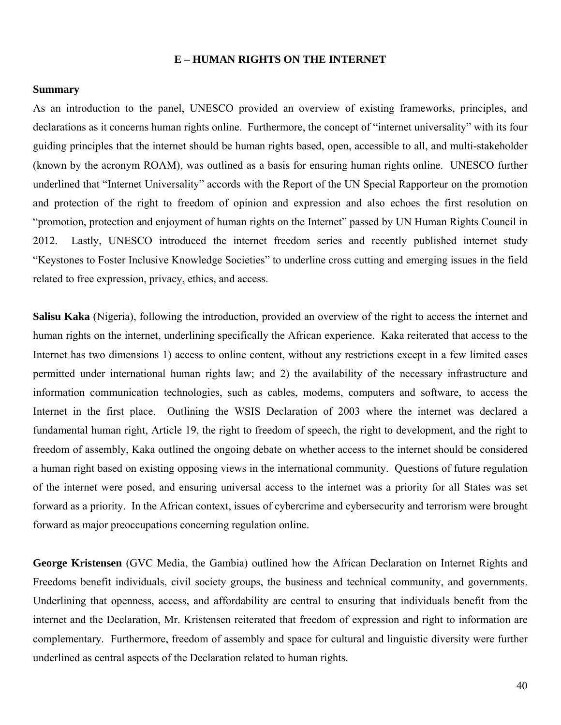#### **E – HUMAN RIGHTS ON THE INTERNET**

#### **Summary**

As an introduction to the panel, UNESCO provided an overview of existing frameworks, principles, and declarations as it concerns human rights online. Furthermore, the concept of "internet universality" with its four guiding principles that the internet should be human rights based, open, accessible to all, and multi-stakeholder (known by the acronym ROAM), was outlined as a basis for ensuring human rights online. UNESCO further underlined that "Internet Universality" accords with the Report of the UN Special Rapporteur on the promotion and protection of the right to freedom of opinion and expression and also echoes the first resolution on "promotion, protection and enjoyment of human rights on the Internet" passed by UN Human Rights Council in 2012. Lastly, UNESCO introduced the internet freedom series and recently published internet study "Keystones to Foster Inclusive Knowledge Societies" to underline cross cutting and emerging issues in the field related to free expression, privacy, ethics, and access.

**Salisu Kaka** (Nigeria), following the introduction, provided an overview of the right to access the internet and human rights on the internet, underlining specifically the African experience. Kaka reiterated that access to the Internet has two dimensions 1) access to online content, without any restrictions except in a few limited cases permitted under international human rights law; and 2) the availability of the necessary infrastructure and information communication technologies, such as cables, modems, computers and software, to access the Internet in the first place. Outlining the WSIS Declaration of 2003 where the internet was declared a fundamental human right, Article 19, the right to freedom of speech, the right to development, and the right to freedom of assembly, Kaka outlined the ongoing debate on whether access to the internet should be considered a human right based on existing opposing views in the international community. Questions of future regulation of the internet were posed, and ensuring universal access to the internet was a priority for all States was set forward as a priority. In the African context, issues of cybercrime and cybersecurity and terrorism were brought forward as major preoccupations concerning regulation online.

**George Kristensen** (GVC Media, the Gambia) outlined how the African Declaration on Internet Rights and Freedoms benefit individuals, civil society groups, the business and technical community, and governments. Underlining that openness, access, and affordability are central to ensuring that individuals benefit from the internet and the Declaration, Mr. Kristensen reiterated that freedom of expression and right to information are complementary. Furthermore, freedom of assembly and space for cultural and linguistic diversity were further underlined as central aspects of the Declaration related to human rights.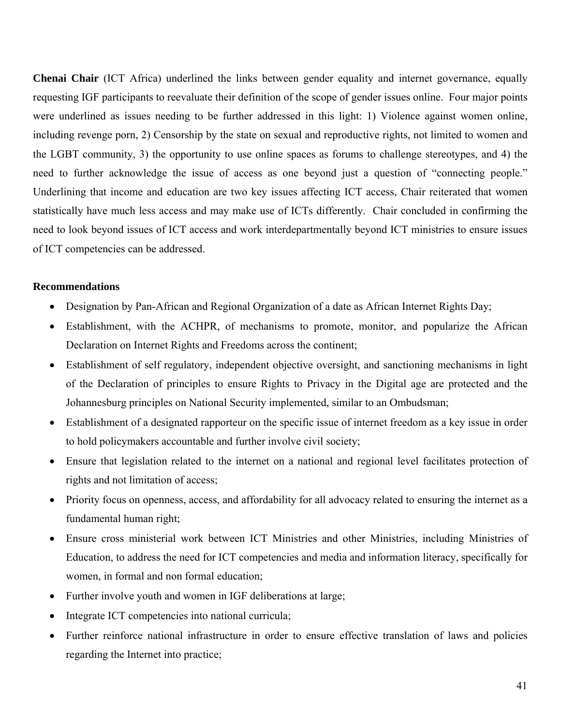**Chenai Chair** (ICT Africa) underlined the links between gender equality and internet governance, equally requesting IGF participants to reevaluate their definition of the scope of gender issues online. Four major points were underlined as issues needing to be further addressed in this light: 1) Violence against women online, including revenge porn, 2) Censorship by the state on sexual and reproductive rights, not limited to women and the LGBT community, 3) the opportunity to use online spaces as forums to challenge stereotypes, and 4) the need to further acknowledge the issue of access as one beyond just a question of "connecting people." Underlining that income and education are two key issues affecting ICT access, Chair reiterated that women statistically have much less access and may make use of ICTs differently. Chair concluded in confirming the need to look beyond issues of ICT access and work interdepartmentally beyond ICT ministries to ensure issues of ICT competencies can be addressed.

#### **Recommendations**

- Designation by Pan-African and Regional Organization of a date as African Internet Rights Day;
- Establishment, with the ACHPR, of mechanisms to promote, monitor, and popularize the African Declaration on Internet Rights and Freedoms across the continent;
- Establishment of self regulatory, independent objective oversight, and sanctioning mechanisms in light of the Declaration of principles to ensure Rights to Privacy in the Digital age are protected and the Johannesburg principles on National Security implemented, similar to an Ombudsman;
- Establishment of a designated rapporteur on the specific issue of internet freedom as a key issue in order to hold policymakers accountable and further involve civil society;
- Ensure that legislation related to the internet on a national and regional level facilitates protection of rights and not limitation of access;
- Priority focus on openness, access, and affordability for all advocacy related to ensuring the internet as a fundamental human right;
- Ensure cross ministerial work between ICT Ministries and other Ministries, including Ministries of Education, to address the need for ICT competencies and media and information literacy, specifically for women, in formal and non formal education;
- Further involve youth and women in IGF deliberations at large;
- Integrate ICT competencies into national curricula;
- Further reinforce national infrastructure in order to ensure effective translation of laws and policies regarding the Internet into practice;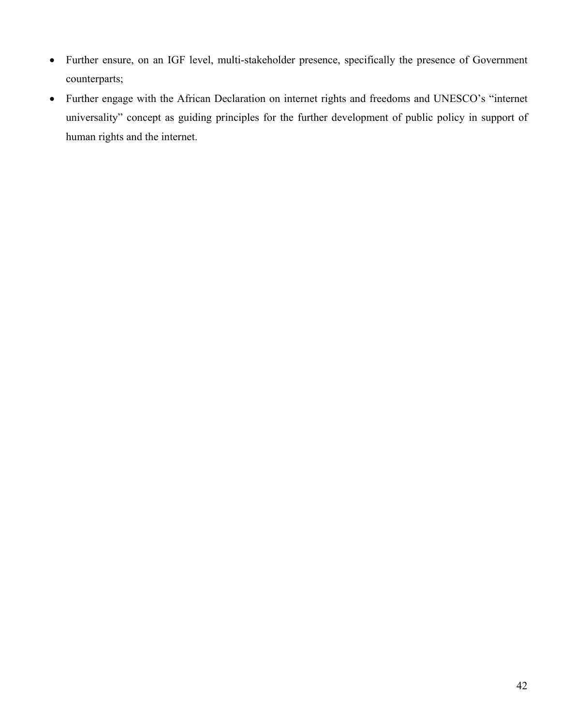- Further ensure, on an IGF level, multi-stakeholder presence, specifically the presence of Government counterparts;
- Further engage with the African Declaration on internet rights and freedoms and UNESCO's "internet universality" concept as guiding principles for the further development of public policy in support of human rights and the internet.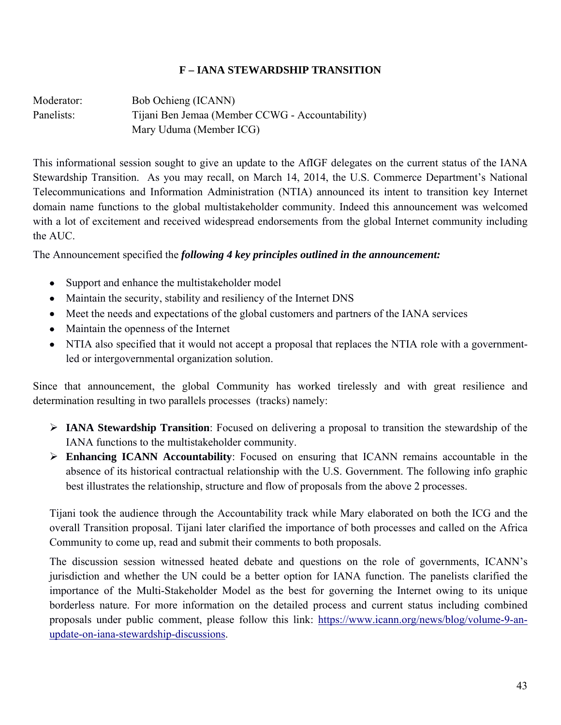## **F – IANA STEWARDSHIP TRANSITION**

Moderator:Bob Ochieng (ICANN) Panelists: Tijani Ben Jemaa (Member CCWG - Accountability) Mary Uduma (Member ICG)

This informational session sought to give an update to the AfIGF delegates on the current status of the IANA Stewardship Transition. As you may recall, on March 14, 2014, the U.S. Commerce Department's National Telecommunications and Information Administration (NTIA) announced its intent to transition key Internet domain name functions to the global multistakeholder community. Indeed this announcement was welcomed with a lot of excitement and received widespread endorsements from the global Internet community including the AUC.

The Announcement specified the *following 4 key principles outlined in the announcement:*

- Support and enhance the multistakeholder model
- Maintain the security, stability and resiliency of the Internet DNS
- Meet the needs and expectations of the global customers and partners of the IANA services
- Maintain the openness of the Internet
- NTIA also specified that it would not accept a proposal that replaces the NTIA role with a governmentled or intergovernmental organization solution.

Since that announcement, the global Community has worked tirelessly and with great resilience and determination resulting in two parallels processes (tracks) namely:

- ¾ **IANA Stewardship Transition**: Focused on delivering a proposal to transition the stewardship of the IANA functions to the multistakeholder community.
- ¾ **Enhancing ICANN Accountability**: Focused on ensuring that ICANN remains accountable in the absence of its historical contractual relationship with the U.S. Government. The following info graphic best illustrates the relationship, structure and flow of proposals from the above 2 processes.

Tijani took the audience through the Accountability track while Mary elaborated on both the ICG and the overall Transition proposal. Tijani later clarified the importance of both processes and called on the Africa Community to come up, read and submit their comments to both proposals.

The discussion session witnessed heated debate and questions on the role of governments, ICANN's jurisdiction and whether the UN could be a better option for IANA function. The panelists clarified the importance of the Multi-Stakeholder Model as the best for governing the Internet owing to its unique borderless nature. For more information on the detailed process and current status including combined proposals under public comment, please follow this link: https://www.icann.org/news/blog/volume-9-anupdate-on-iana-stewardship-discussions.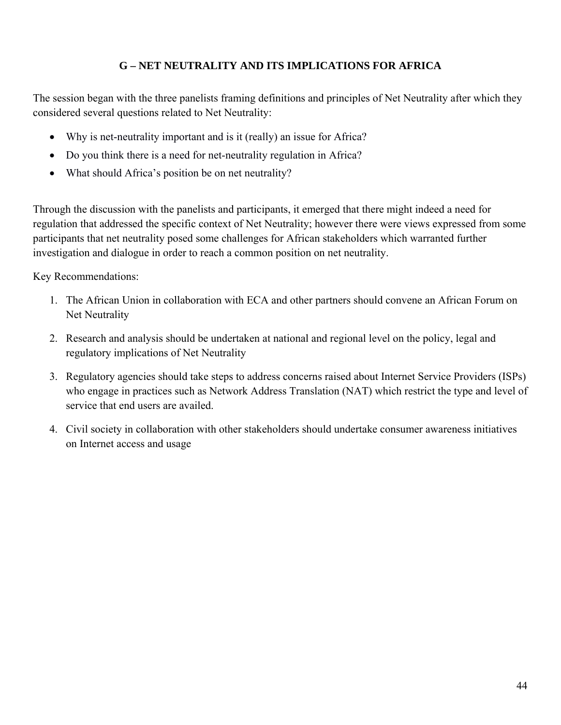## **G – NET NEUTRALITY AND ITS IMPLICATIONS FOR AFRICA**

The session began with the three panelists framing definitions and principles of Net Neutrality after which they considered several questions related to Net Neutrality:

- Why is net-neutrality important and is it (really) an issue for Africa?
- Do you think there is a need for net-neutrality regulation in Africa?
- What should Africa's position be on net neutrality?

Through the discussion with the panelists and participants, it emerged that there might indeed a need for regulation that addressed the specific context of Net Neutrality; however there were views expressed from some participants that net neutrality posed some challenges for African stakeholders which warranted further investigation and dialogue in order to reach a common position on net neutrality.

Key Recommendations:

- 1. The African Union in collaboration with ECA and other partners should convene an African Forum on Net Neutrality
- 2. Research and analysis should be undertaken at national and regional level on the policy, legal and regulatory implications of Net Neutrality
- 3. Regulatory agencies should take steps to address concerns raised about Internet Service Providers (ISPs) who engage in practices such as Network Address Translation (NAT) which restrict the type and level of service that end users are availed.
- 4. Civil society in collaboration with other stakeholders should undertake consumer awareness initiatives on Internet access and usage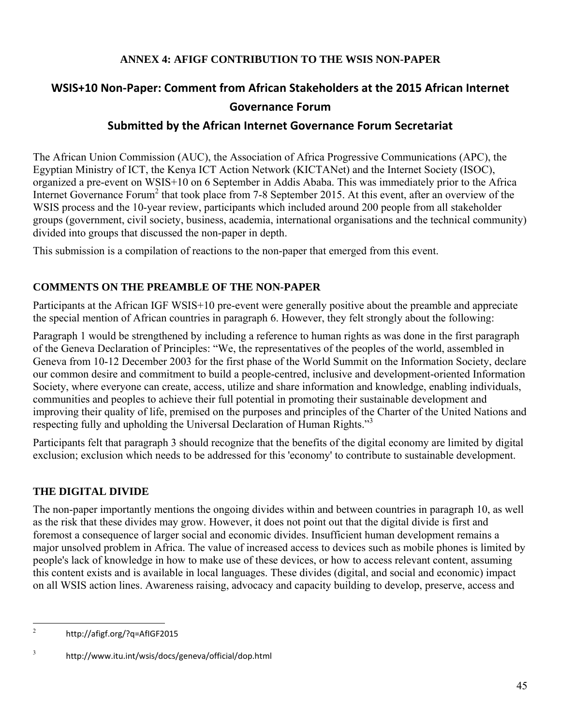## **ANNEX 4: AFIGF CONTRIBUTION TO THE WSIS NON-PAPER**

# **WSIS+10 Non‐Paper: Comment from African Stakeholders at the 2015 African Internet Governance Forum**

## **Submitted by the African Internet Governance Forum Secretariat**

The African Union Commission (AUC), the Association of Africa Progressive Communications (APC), the Egyptian Ministry of ICT, the Kenya ICT Action Network (KICTANet) and the Internet Society (ISOC), organized a pre-event on WSIS+10 on 6 September in Addis Ababa. This was immediately prior to the Africa Internet Governance Forum<sup>2</sup> that took place from 7-8 September 2015. At this event, after an overview of the WSIS process and the 10-year review, participants which included around 200 people from all stakeholder groups (government, civil society, business, academia, international organisations and the technical community) divided into groups that discussed the non-paper in depth.

This submission is a compilation of reactions to the non-paper that emerged from this event.

## **COMMENTS ON THE PREAMBLE OF THE NON-PAPER**

Participants at the African IGF WSIS+10 pre-event were generally positive about the preamble and appreciate the special mention of African countries in paragraph 6. However, they felt strongly about the following:

Paragraph 1 would be strengthened by including a reference to human rights as was done in the first paragraph of the Geneva Declaration of Principles: "We, the representatives of the peoples of the world, assembled in Geneva from 10-12 December 2003 for the first phase of the World Summit on the Information Society, declare our common desire and commitment to build a people-centred, inclusive and development-oriented Information Society, where everyone can create, access, utilize and share information and knowledge, enabling individuals, communities and peoples to achieve their full potential in promoting their sustainable development and improving their quality of life, premised on the purposes and principles of the Charter of the United Nations and respecting fully and upholding the Universal Declaration of Human Rights."<sup>3</sup>

Participants felt that paragraph 3 should recognize that the benefits of the digital economy are limited by digital exclusion; exclusion which needs to be addressed for this 'economy' to contribute to sustainable development.

## **THE DIGITAL DIVIDE**

The non-paper importantly mentions the ongoing divides within and between countries in paragraph 10, as well as the risk that these divides may grow. However, it does not point out that the digital divide is first and foremost a consequence of larger social and economic divides. Insufficient human development remains a major unsolved problem in Africa. The value of increased access to devices such as mobile phones is limited by people's lack of knowledge in how to make use of these devices, or how to access relevant content, assuming this content exists and is available in local languages. These divides (digital, and social and economic) impact on all WSIS action lines. Awareness raising, advocacy and capacity building to develop, preserve, access and

 $\overline{2}$ <sup>2</sup> http://afigf.org/?q=AfIGF2015

<sup>3</sup> http://www.itu.int/wsis/docs/geneva/official/dop.html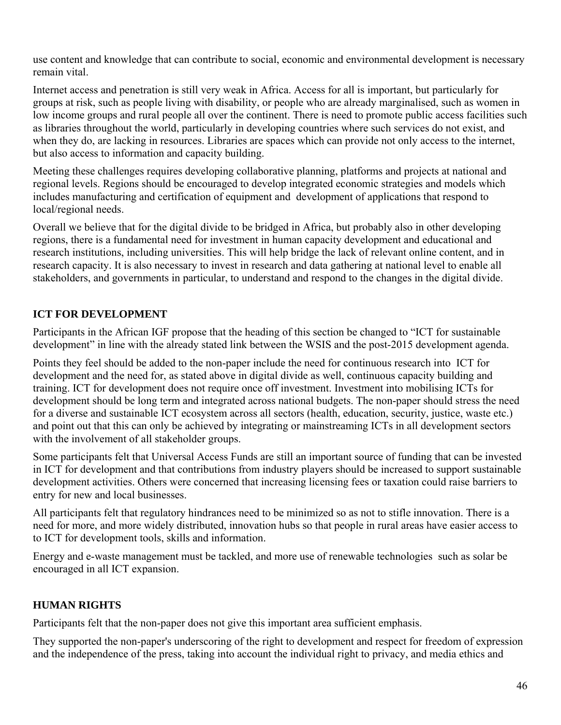use content and knowledge that can contribute to social, economic and environmental development is necessary remain vital.

Internet access and penetration is still very weak in Africa. Access for all is important, but particularly for groups at risk, such as people living with disability, or people who are already marginalised, such as women in low income groups and rural people all over the continent. There is need to promote public access facilities such as libraries throughout the world, particularly in developing countries where such services do not exist, and when they do, are lacking in resources. Libraries are spaces which can provide not only access to the internet, but also access to information and capacity building.

Meeting these challenges requires developing collaborative planning, platforms and projects at national and regional levels. Regions should be encouraged to develop integrated economic strategies and models which includes manufacturing and certification of equipment and development of applications that respond to local/regional needs.

Overall we believe that for the digital divide to be bridged in Africa, but probably also in other developing regions, there is a fundamental need for investment in human capacity development and educational and research institutions, including universities. This will help bridge the lack of relevant online content, and in research capacity. It is also necessary to invest in research and data gathering at national level to enable all stakeholders, and governments in particular, to understand and respond to the changes in the digital divide.

## **ICT FOR DEVELOPMENT**

Participants in the African IGF propose that the heading of this section be changed to "ICT for sustainable development" in line with the already stated link between the WSIS and the post-2015 development agenda.

Points they feel should be added to the non-paper include the need for continuous research into ICT for development and the need for, as stated above in digital divide as well, continuous capacity building and training. ICT for development does not require once off investment. Investment into mobilising ICTs for development should be long term and integrated across national budgets. The non-paper should stress the need for a diverse and sustainable ICT ecosystem across all sectors (health, education, security, justice, waste etc.) and point out that this can only be achieved by integrating or mainstreaming ICTs in all development sectors with the involvement of all stakeholder groups.

Some participants felt that Universal Access Funds are still an important source of funding that can be invested in ICT for development and that contributions from industry players should be increased to support sustainable development activities. Others were concerned that increasing licensing fees or taxation could raise barriers to entry for new and local businesses.

All participants felt that regulatory hindrances need to be minimized so as not to stifle innovation. There is a need for more, and more widely distributed, innovation hubs so that people in rural areas have easier access to to ICT for development tools, skills and information.

Energy and e-waste management must be tackled, and more use of renewable technologies such as solar be encouraged in all ICT expansion.

## **HUMAN RIGHTS**

Participants felt that the non-paper does not give this important area sufficient emphasis.

They supported the non-paper's underscoring of the right to development and respect for freedom of expression and the independence of the press, taking into account the individual right to privacy, and media ethics and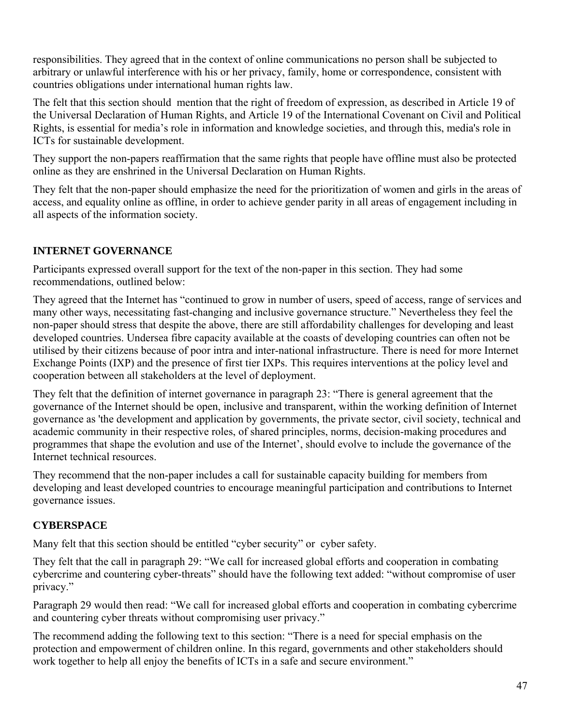responsibilities. They agreed that in the context of online communications no person shall be subjected to arbitrary or unlawful interference with his or her privacy, family, home or correspondence, consistent with countries obligations under international human rights law.

The felt that this section should mention that the right of freedom of expression, as described in Article 19 of the Universal Declaration of Human Rights, and Article 19 of the International Covenant on Civil and Political Rights, is essential for media's role in information and knowledge societies, and through this, media's role in ICTs for sustainable development.

They support the non-papers reaffirmation that the same rights that people have offline must also be protected online as they are enshrined in the Universal Declaration on Human Rights.

They felt that the non-paper should emphasize the need for the prioritization of women and girls in the areas of access, and equality online as offline, in order to achieve gender parity in all areas of engagement including in all aspects of the information society.

## **INTERNET GOVERNANCE**

Participants expressed overall support for the text of the non-paper in this section. They had some recommendations, outlined below:

They agreed that the Internet has "continued to grow in number of users, speed of access, range of services and many other ways, necessitating fast-changing and inclusive governance structure." Nevertheless they feel the non-paper should stress that despite the above, there are still affordability challenges for developing and least developed countries. Undersea fibre capacity available at the coasts of developing countries can often not be utilised by their citizens because of poor intra and inter-national infrastructure. There is need for more Internet Exchange Points (IXP) and the presence of first tier IXPs. This requires interventions at the policy level and cooperation between all stakeholders at the level of deployment.

They felt that the definition of internet governance in paragraph 23: "There is general agreement that the governance of the Internet should be open, inclusive and transparent, within the working definition of Internet governance as 'the development and application by governments, the private sector, civil society, technical and academic community in their respective roles, of shared principles, norms, decision-making procedures and programmes that shape the evolution and use of the Internet', should evolve to include the governance of the Internet technical resources.

They recommend that the non-paper includes a call for sustainable capacity building for members from developing and least developed countries to encourage meaningful participation and contributions to Internet governance issues.

## **CYBERSPACE**

Many felt that this section should be entitled "cyber security" or cyber safety.

They felt that the call in paragraph 29: "We call for increased global efforts and cooperation in combating cybercrime and countering cyber-threats" should have the following text added: "without compromise of user privacy."

Paragraph 29 would then read: "We call for increased global efforts and cooperation in combating cybercrime and countering cyber threats without compromising user privacy."

The recommend adding the following text to this section: "There is a need for special emphasis on the protection and empowerment of children online. In this regard, governments and other stakeholders should work together to help all enjoy the benefits of ICTs in a safe and secure environment."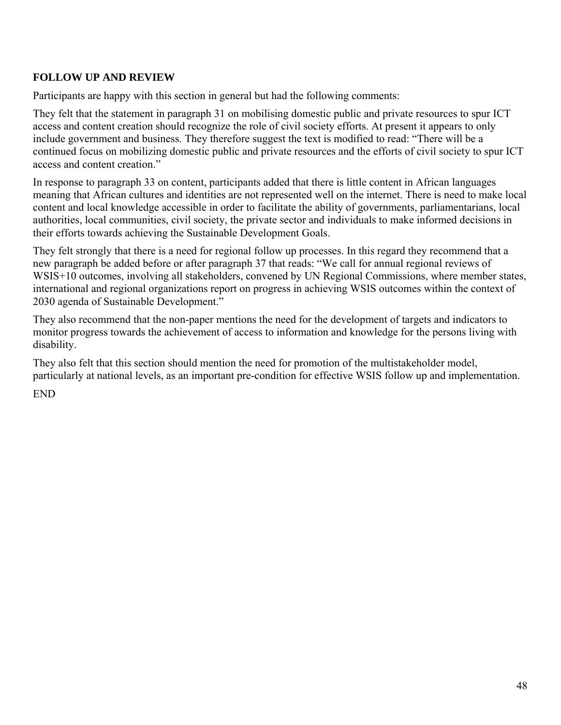## **FOLLOW UP AND REVIEW**

Participants are happy with this section in general but had the following comments:

They felt that the statement in paragraph 31 on mobilising domestic public and private resources to spur ICT access and content creation should recognize the role of civil society efforts. At present it appears to only include government and business. They therefore suggest the text is modified to read: "There will be a continued focus on mobilizing domestic public and private resources and the efforts of civil society to spur ICT access and content creation."

In response to paragraph 33 on content, participants added that there is little content in African languages meaning that African cultures and identities are not represented well on the internet. There is need to make local content and local knowledge accessible in order to facilitate the ability of governments, parliamentarians, local authorities, local communities, civil society, the private sector and individuals to make informed decisions in their efforts towards achieving the Sustainable Development Goals.

They felt strongly that there is a need for regional follow up processes. In this regard they recommend that a new paragraph be added before or after paragraph 37 that reads: "We call for annual regional reviews of WSIS+10 outcomes, involving all stakeholders, convened by UN Regional Commissions, where member states, international and regional organizations report on progress in achieving WSIS outcomes within the context of 2030 agenda of Sustainable Development."

They also recommend that the non-paper mentions the need for the development of targets and indicators to monitor progress towards the achievement of access to information and knowledge for the persons living with disability.

They also felt that this section should mention the need for promotion of the multistakeholder model, particularly at national levels, as an important pre-condition for effective WSIS follow up and implementation.

END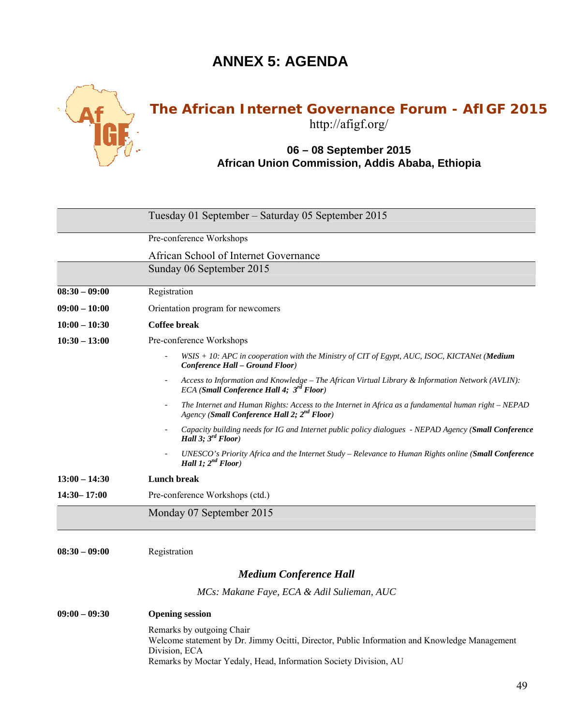# **ANNEX 5: AGENDA**



# **The African Internet Governance Forum - AfIGF 2015** http://afigf.org/

## **06 – 08 September 2015 African Union Commission, Addis Ababa, Ethiopia**

|                 | Tuesday 01 September – Saturday 05 September 2015                                                                                                               |  |  |
|-----------------|-----------------------------------------------------------------------------------------------------------------------------------------------------------------|--|--|
|                 | Pre-conference Workshops                                                                                                                                        |  |  |
|                 | African School of Internet Governance                                                                                                                           |  |  |
|                 | Sunday 06 September 2015                                                                                                                                        |  |  |
| $08:30 - 09:00$ | Registration                                                                                                                                                    |  |  |
| $09:00 - 10:00$ | Orientation program for newcomers                                                                                                                               |  |  |
| $10:00 - 10:30$ | Coffee break                                                                                                                                                    |  |  |
| $10:30 - 13:00$ | Pre-conference Workshops                                                                                                                                        |  |  |
|                 | $WSIS + 10$ : APC in cooperation with the Ministry of CIT of Egypt, AUC, ISOC, KICTANet (Medium<br>Conference Hall - Ground Floor)                              |  |  |
|                 | Access to Information and Knowledge - The African Virtual Library & Information Network (AVLIN):<br>ECA (Small Conference Hall 4; 3 <sup>rd</sup> Floor)        |  |  |
|                 | The Internet and Human Rights: Access to the Internet in Africa as a fundamental human right – NEPAD<br>Agency (Small Conference Hall 2; 2 <sup>nd</sup> Floor) |  |  |
|                 | Capacity building needs for IG and Internet public policy dialogues - NEPAD Agency (Small Conference<br>Hall 3; $3^{rd}$ Floor)                                 |  |  |
|                 | UNESCO's Priority Africa and the Internet Study – Relevance to Human Rights online (Small Conference<br>Hall 1; $2^{nd}$ Floor)                                 |  |  |
| $13:00 - 14:30$ | Lunch break                                                                                                                                                     |  |  |
| $14:30 - 17:00$ | Pre-conference Workshops (ctd.)                                                                                                                                 |  |  |
|                 | Monday 07 September 2015                                                                                                                                        |  |  |

**08:30 – 09:00** Registration

#### *Medium Conference Hall*

*MCs: Makane Faye, ECA & Adil Sulieman, AUC*

#### **09:00 – 09:30 Opening session**

Remarks by outgoing Chair Welcome statement by Dr. Jimmy Ocitti, Director, Public Information and Knowledge Management Division, ECA Remarks by Moctar Yedaly, Head, Information Society Division, AU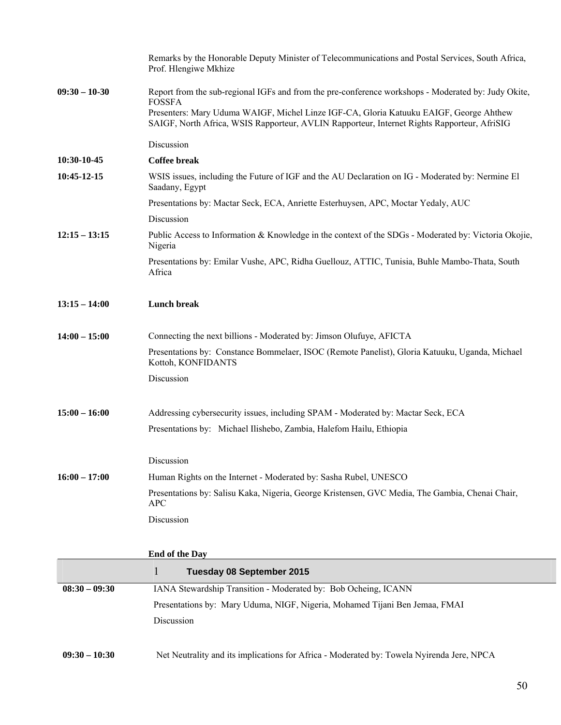|                 | Remarks by the Honorable Deputy Minister of Telecommunications and Postal Services, South Africa,<br>Prof. Hlengiwe Mkhize                                                            |
|-----------------|---------------------------------------------------------------------------------------------------------------------------------------------------------------------------------------|
| $09:30 - 10-30$ | Report from the sub-regional IGFs and from the pre-conference workshops - Moderated by: Judy Okite,<br><b>FOSSFA</b>                                                                  |
|                 | Presenters: Mary Uduma WAIGF, Michel Linze IGF-CA, Gloria Katuuku EAIGF, George Ahthew<br>SAIGF, North Africa, WSIS Rapporteur, AVLIN Rapporteur, Internet Rights Rapporteur, AfriSIG |
|                 | Discussion                                                                                                                                                                            |
| 10:30-10-45     | <b>Coffee break</b>                                                                                                                                                                   |
| 10:45-12-15     | WSIS issues, including the Future of IGF and the AU Declaration on IG - Moderated by: Nermine El<br>Saadany, Egypt                                                                    |
|                 | Presentations by: Mactar Seck, ECA, Anriette Esterhuysen, APC, Moctar Yedaly, AUC                                                                                                     |
|                 | Discussion                                                                                                                                                                            |
| $12:15 - 13:15$ | Public Access to Information & Knowledge in the context of the SDGs - Moderated by: Victoria Okojie,<br>Nigeria                                                                       |
|                 | Presentations by: Emilar Vushe, APC, Ridha Guellouz, ATTIC, Tunisia, Buhle Mambo-Thata, South<br>Africa                                                                               |
| $13:15 - 14:00$ | <b>Lunch break</b>                                                                                                                                                                    |
| $14:00 - 15:00$ | Connecting the next billions - Moderated by: Jimson Olufuye, AFICTA                                                                                                                   |
|                 | Presentations by: Constance Bommelaer, ISOC (Remote Panelist), Gloria Katuuku, Uganda, Michael<br>Kottoh, KONFIDANTS                                                                  |
|                 | Discussion                                                                                                                                                                            |
| $15:00 - 16:00$ | Addressing cybersecurity issues, including SPAM - Moderated by: Mactar Seck, ECA                                                                                                      |
|                 | Presentations by: Michael Ilishebo, Zambia, Halefom Hailu, Ethiopia                                                                                                                   |
|                 | Discussion                                                                                                                                                                            |
| $16:00 - 17:00$ | Human Rights on the Internet - Moderated by: Sasha Rubel, UNESCO                                                                                                                      |
|                 | Presentations by: Salisu Kaka, Nigeria, George Kristensen, GVC Media, The Gambia, Chenai Chair,<br><b>APC</b>                                                                         |
|                 | Discussion                                                                                                                                                                            |
|                 | <b>End of the Day</b>                                                                                                                                                                 |
|                 | $\mathbf{1}$<br><b>Tuesday 08 September 2015</b>                                                                                                                                      |
| $08:30 - 09:30$ | IANA Stewardship Transition - Moderated by: Bob Ocheing, ICANN                                                                                                                        |
|                 | Presentations by: Mary Uduma, NIGF, Nigeria, Mohamed Tijani Ben Jemaa, FMAI                                                                                                           |
|                 | Discussion                                                                                                                                                                            |
| $09:30 - 10:30$ | Net Neutrality and its implications for Africa - Moderated by: Towela Nyirenda Jere, NPCA                                                                                             |

Γ